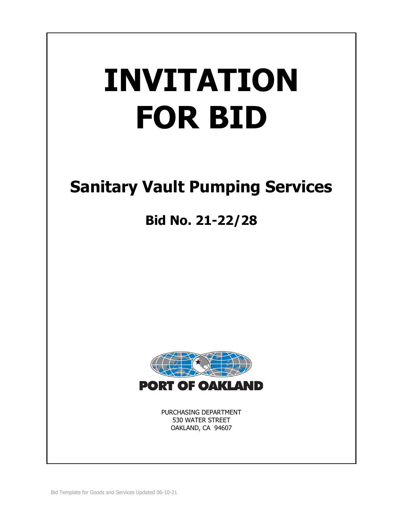# **INVITATION FOR BID**

# **Sanitary Vault Pumping Services**

# **Bid No. 21-22/28**



PURCHASING DEPARTMENT 530 WATER STREET OAKLAND, CA 94607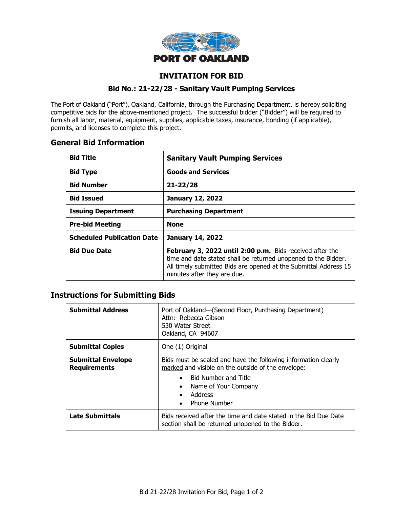

# **INVITATION FOR BID**

#### **Bid No.: 21-22/28 - Sanitary Vault Pumping Services**

The Port of Oakland ("Port"), Oakland, California, through the Purchasing Department, is hereby soliciting competitive bids for the above-mentioned project. The successful bidder ("Bidder") will be required to furnish all labor, material, equipment, supplies, applicable taxes, insurance, bonding (if applicable), permits, and licenses to complete this project.

# **General Bid Information**

| <b>Bid Title</b>                  | <b>Sanitary Vault Pumping Services</b>                                                                                                                                                                                        |  |
|-----------------------------------|-------------------------------------------------------------------------------------------------------------------------------------------------------------------------------------------------------------------------------|--|
| <b>Bid Type</b>                   | <b>Goods and Services</b>                                                                                                                                                                                                     |  |
| <b>Bid Number</b>                 | $21 - 22/28$                                                                                                                                                                                                                  |  |
| <b>Bid Issued</b>                 | <b>January 12, 2022</b>                                                                                                                                                                                                       |  |
| <b>Issuing Department</b>         | <b>Purchasing Department</b>                                                                                                                                                                                                  |  |
| <b>Pre-bid Meeting</b>            | <b>None</b>                                                                                                                                                                                                                   |  |
| <b>Scheduled Publication Date</b> | <b>January 14, 2022</b>                                                                                                                                                                                                       |  |
| <b>Bid Due Date</b>               | February 3, 2022 until 2:00 p.m. Bids received after the<br>time and date stated shall be returned unopened to the Bidder.<br>All timely submitted Bids are opened at the Submittal Address 15<br>minutes after they are due. |  |

# **Instructions for Submitting Bids**

| <b>Submittal Address</b>                         | Port of Oakland-(Second Floor, Purchasing Department)<br>Attn: Rebecca Gibson<br>530 Water Street<br>Oakland, CA 94607                                                                                                                                            |  |
|--------------------------------------------------|-------------------------------------------------------------------------------------------------------------------------------------------------------------------------------------------------------------------------------------------------------------------|--|
| <b>Submittal Copies</b>                          | One (1) Original                                                                                                                                                                                                                                                  |  |
| <b>Submittal Envelope</b><br><b>Requirements</b> | Bids must be sealed and have the following information clearly<br>marked and visible on the outside of the envelope:<br><b>Bid Number and Title</b><br>$\bullet$<br>Name of Your Company<br>$\bullet$<br>Address<br>$\bullet$<br><b>Phone Number</b><br>$\bullet$ |  |
| <b>Late Submittals</b>                           | Bids received after the time and date stated in the Bid Due Date<br>section shall be returned unopened to the Bidder.                                                                                                                                             |  |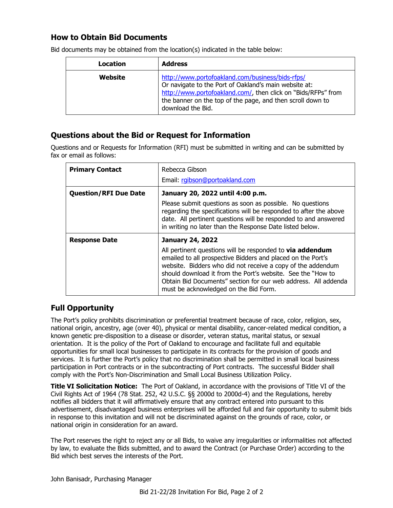# **How to Obtain Bid Documents**

| Location | <b>Address</b>                                                                                                                                                                                                                                                |
|----------|---------------------------------------------------------------------------------------------------------------------------------------------------------------------------------------------------------------------------------------------------------------|
| Website  | http://www.portofoakland.com/business/bids-rfps/<br>Or navigate to the Port of Oakland's main website at:<br>http://www.portofoakland.com/, then click on "Bids/RFPs" from<br>the banner on the top of the page, and then scroll down to<br>download the Bid. |

Bid documents may be obtained from the location(s) indicated in the table below:

# **Questions about the Bid or Request for Information**

Questions and or Requests for Information (RFI) must be submitted in writing and can be submitted by fax or email as follows:

| <b>Primary Contact</b>       | Rebecca Gibson<br>Email: rgibson@portoakland.com                                                                                                                                                                                                                                                                                                                                                    |  |
|------------------------------|-----------------------------------------------------------------------------------------------------------------------------------------------------------------------------------------------------------------------------------------------------------------------------------------------------------------------------------------------------------------------------------------------------|--|
| <b>Question/RFI Due Date</b> | January 20, 2022 until 4:00 p.m.<br>Please submit questions as soon as possible. No questions<br>regarding the specifications will be responded to after the above<br>date. All pertinent questions will be responded to and answered<br>in writing no later than the Response Date listed below.                                                                                                   |  |
| <b>Response Date</b>         | <b>January 24, 2022</b><br>All pertinent questions will be responded to <b>via addendum</b><br>emailed to all prospective Bidders and placed on the Port's<br>website. Bidders who did not receive a copy of the addendum<br>should download it from the Port's website. See the "How to<br>Obtain Bid Documents" section for our web address. All addenda<br>must be acknowledged on the Bid Form. |  |

# **Full Opportunity**

The Port's policy prohibits discrimination or preferential treatment because of race, color, religion, sex, national origin, ancestry, age (over 40), physical or mental disability, cancer-related medical condition, a known genetic pre-disposition to a disease or disorder, veteran status, marital status, or sexual orientation. It is the policy of the Port of Oakland to encourage and facilitate full and equitable opportunities for small local businesses to participate in its contracts for the provision of goods and services. It is further the Port's policy that no discrimination shall be permitted in small local business participation in Port contracts or in the subcontracting of Port contracts. The successful Bidder shall comply with the Port's Non-Discrimination and Small Local Business Utilization Policy.

**Title VI Solicitation Notice:** The Port of Oakland, in accordance with the provisions of Title VI of the Civil Rights Act of 1964 (78 Stat. 252, 42 U.S.C. §§ 2000d to 2000d-4) and the Regulations, hereby notifies all bidders that it will affirmatively ensure that any contract entered into pursuant to this advertisement, disadvantaged business enterprises will be afforded full and fair opportunity to submit bids in response to this invitation and will not be discriminated against on the grounds of race, color, or national origin in consideration for an award.

The Port reserves the right to reject any or all Bids, to waive any irregularities or informalities not affected by law, to evaluate the Bids submitted, and to award the Contract (or Purchase Order) according to the Bid which best serves the interests of the Port.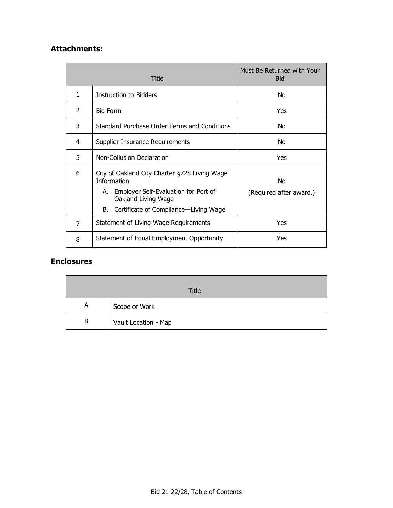# **Attachments:**

|                | Title                                                                                                                                                                                | Must Be Returned with Your<br><b>Bid</b> |
|----------------|--------------------------------------------------------------------------------------------------------------------------------------------------------------------------------------|------------------------------------------|
| 1              | <b>Instruction to Bidders</b>                                                                                                                                                        | No.                                      |
| $\overline{2}$ | <b>Bid Form</b>                                                                                                                                                                      | Yes                                      |
| 3              | Standard Purchase Order Terms and Conditions                                                                                                                                         | No                                       |
| 4              | Supplier Insurance Requirements                                                                                                                                                      | No                                       |
| 5              | Non-Collusion Declaration                                                                                                                                                            | Yes                                      |
| 6              | City of Oakland City Charter §728 Living Wage<br><b>Information</b><br>A. Employer Self-Evaluation for Port of<br>Oakland Living Wage<br>Certificate of Compliance-Living Wage<br>B. | No.<br>(Required after award.)           |
| 7              | Statement of Living Wage Requirements                                                                                                                                                | Yes                                      |
| 8              | Statement of Equal Employment Opportunity                                                                                                                                            | Yes                                      |

# **Enclosures**

|   | Title                |
|---|----------------------|
| А | Scope of Work        |
| B | Vault Location - Map |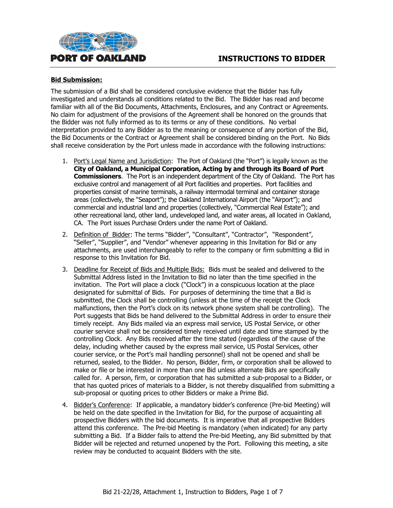

#### **Bid Submission:**

The submission of a Bid shall be considered conclusive evidence that the Bidder has fully investigated and understands all conditions related to the Bid. The Bidder has read and become familiar with all of the Bid Documents, Attachments, Enclosures, and any Contract or Agreements. No claim for adjustment of the provisions of the Agreement shall be honored on the grounds that the Bidder was not fully informed as to its terms or any of these conditions. No verbal interpretation provided to any Bidder as to the meaning or consequence of any portion of the Bid, the Bid Documents or the Contract or Agreement shall be considered binding on the Port. No Bids shall receive consideration by the Port unless made in accordance with the following instructions:

- 1. Port's Legal Name and Jurisdiction: The Port of Oakland (the "Port") is legally known as the **City of Oakland, a Municipal Corporation, Acting by and through its Board of Port Commissioners**. The Port is an independent department of the City of Oakland. The Port has exclusive control and management of all Port facilities and properties. Port facilities and properties consist of marine terminals, a railway intermodal terminal and container storage areas (collectively, the "Seaport"); the Oakland International Airport (the "Airport"); and commercial and industrial land and properties (collectively, "Commercial Real Estate"); and other recreational land, other land, undeveloped land, and water areas, all located in Oakland, CA. The Port issues Purchase Orders under the name Port of Oakland.
- 2. Definition of Bidder: The terms "Bidder", "Consultant", "Contractor", "Respondent", "Seller", "Supplier", and "Vendor" whenever appearing in this Invitation for Bid or any attachments, are used interchangeably to refer to the company or firm submitting a Bid in response to this Invitation for Bid.
- 3. Deadline for Receipt of Bids and Multiple Bids: Bids must be sealed and delivered to the Submittal Address listed in the Invitation to Bid no later than the time specified in the invitation. The Port will place a clock ("Clock") in a conspicuous location at the place designated for submittal of Bids. For purposes of determining the time that a Bid is submitted, the Clock shall be controlling (unless at the time of the receipt the Clock malfunctions, then the Port's clock on its network phone system shall be controlling). The Port suggests that Bids be hand delivered to the Submittal Address in order to ensure their timely receipt. Any Bids mailed via an express mail service, US Postal Service, or other courier service shall not be considered timely received until date and time stamped by the controlling Clock. Any Bids received after the time stated (regardless of the cause of the delay, including whether caused by the express mail service, US Postal Services, other courier service, or the Port's mail handling personnel) shall not be opened and shall be returned, sealed, to the Bidder. No person, Bidder, firm, or corporation shall be allowed to make or file or be interested in more than one Bid unless alternate Bids are specifically called for. A person, firm, or corporation that has submitted a sub-proposal to a Bidder, or that has quoted prices of materials to a Bidder, is not thereby disqualified from submitting a sub-proposal or quoting prices to other Bidders or make a Prime Bid.
- 4. Bidder's Conference: If applicable, a mandatory bidder's conference (Pre-bid Meeting) will be held on the date specified in the Invitation for Bid, for the purpose of acquainting all prospective Bidders with the bid documents. It is imperative that all prospective Bidders attend this conference. The Pre-bid Meeting is mandatory (when indicated) for any party submitting a Bid. If a Bidder fails to attend the Pre-bid Meeting, any Bid submitted by that Bidder will be rejected and returned unopened by the Port. Following this meeting, a site review may be conducted to acquaint Bidders with the site.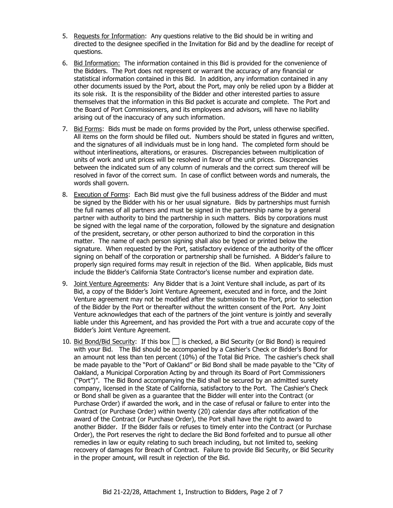- 5. Requests for Information: Any questions relative to the Bid should be in writing and directed to the designee specified in the Invitation for Bid and by the deadline for receipt of questions.
- 6. Bid Information: The information contained in this Bid is provided for the convenience of the Bidders. The Port does not represent or warrant the accuracy of any financial or statistical information contained in this Bid. In addition, any information contained in any other documents issued by the Port, about the Port, may only be relied upon by a Bidder at its sole risk. It is the responsibility of the Bidder and other interested parties to assure themselves that the information in this Bid packet is accurate and complete. The Port and the Board of Port Commissioners, and its employees and advisors, will have no liability arising out of the inaccuracy of any such information.
- 7. Bid Forms: Bids must be made on forms provided by the Port, unless otherwise specified. All items on the form should be filled out. Numbers should be stated in figures and written, and the signatures of all individuals must be in long hand. The completed form should be without interlineations, alterations, or erasures. Discrepancies between multiplication of units of work and unit prices will be resolved in favor of the unit prices. Discrepancies between the indicated sum of any column of numerals and the correct sum thereof will be resolved in favor of the correct sum. In case of conflict between words and numerals, the words shall govern.
- 8. Execution of Forms: Each Bid must give the full business address of the Bidder and must be signed by the Bidder with his or her usual signature. Bids by partnerships must furnish the full names of all partners and must be signed in the partnership name by a general partner with authority to bind the partnership in such matters. Bids by corporations must be signed with the legal name of the corporation, followed by the signature and designation of the president, secretary, or other person authorized to bind the corporation in this matter. The name of each person signing shall also be typed or printed below the signature. When requested by the Port, satisfactory evidence of the authority of the officer signing on behalf of the corporation or partnership shall be furnished. A Bidder's failure to properly sign required forms may result in rejection of the Bid. When applicable, Bids must include the Bidder's California State Contractor's license number and expiration date.
- 9. Joint Venture Agreements: Any Bidder that is a Joint Venture shall include, as part of its Bid, a copy of the Bidder's Joint Venture Agreement, executed and in force, and the Joint Venture agreement may not be modified after the submission to the Port, prior to selection of the Bidder by the Port or thereafter without the written consent of the Port. Any Joint Venture acknowledges that each of the partners of the joint venture is jointly and severally liable under this Agreement, and has provided the Port with a true and accurate copy of the Bidder's Joint Venture Agreement.
- 10. Bid Bond/Bid Security: If this box  $\Box$  is checked, a Bid Security (or Bid Bond) is required with your Bid. The Bid should be accompanied by a Cashier's Check or Bidder's Bond for an amount not less than ten percent (10%) of the Total Bid Price. The cashier's check shall be made payable to the "Port of Oakland" or Bid Bond shall be made payable to the "City of Oakland, a Municipal Corporation Acting by and through its Board of Port Commissioners ("Port")". The Bid Bond accompanying the Bid shall be secured by an admitted surety company, licensed in the State of California, satisfactory to the Port. The Cashier's Check or Bond shall be given as a guarantee that the Bidder will enter into the Contract (or Purchase Order) if awarded the work, and in the case of refusal or failure to enter into the Contract (or Purchase Order) within twenty (20) calendar days after notification of the award of the Contract (or Purchase Order), the Port shall have the right to award to another Bidder. If the Bidder fails or refuses to timely enter into the Contract (or Purchase Order), the Port reserves the right to declare the Bid Bond forfeited and to pursue all other remedies in law or equity relating to such breach including, but not limited to, seeking recovery of damages for Breach of Contract. Failure to provide Bid Security, or Bid Security in the proper amount, will result in rejection of the Bid.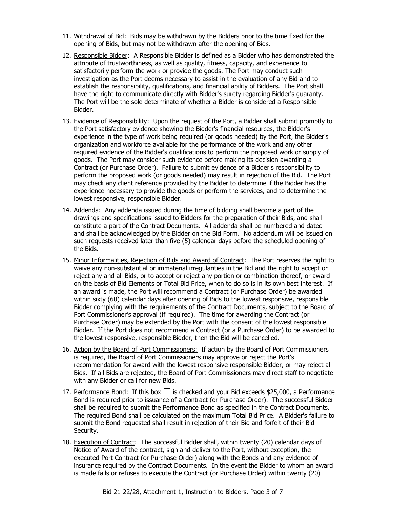- 11. Withdrawal of Bid: Bids may be withdrawn by the Bidders prior to the time fixed for the opening of Bids, but may not be withdrawn after the opening of Bids.
- 12. Responsible Bidder: A Responsible Bidder is defined as a Bidder who has demonstrated the attribute of trustworthiness, as well as quality, fitness, capacity, and experience to satisfactorily perform the work or provide the goods. The Port may conduct such investigation as the Port deems necessary to assist in the evaluation of any Bid and to establish the responsibility, qualifications, and financial ability of Bidders. The Port shall have the right to communicate directly with Bidder's surety regarding Bidder's guaranty. The Port will be the sole determinate of whether a Bidder is considered a Responsible Bidder.
- 13. Evidence of Responsibility: Upon the request of the Port, a Bidder shall submit promptly to the Port satisfactory evidence showing the Bidder's financial resources, the Bidder's experience in the type of work being required (or goods needed) by the Port, the Bidder's organization and workforce available for the performance of the work and any other required evidence of the Bidder's qualifications to perform the proposed work or supply of goods. The Port may consider such evidence before making its decision awarding a Contract (or Purchase Order). Failure to submit evidence of a Bidder's responsibility to perform the proposed work (or goods needed) may result in rejection of the Bid. The Port may check any client reference provided by the Bidder to determine if the Bidder has the experience necessary to provide the goods or perform the services, and to determine the lowest responsive, responsible Bidder.
- 14. Addenda: Any addenda issued during the time of bidding shall become a part of the drawings and specifications issued to Bidders for the preparation of their Bids, and shall constitute a part of the Contract Documents. All addenda shall be numbered and dated and shall be acknowledged by the Bidder on the Bid Form. No addendum will be issued on such requests received later than five (5) calendar days before the scheduled opening of the Bids.
- 15. Minor Informalities, Rejection of Bids and Award of Contract: The Port reserves the right to waive any non-substantial or immaterial irregularities in the Bid and the right to accept or reject any and all Bids, or to accept or reject any portion or combination thereof, or award on the basis of Bid Elements or Total Bid Price, when to do so is in its own best interest. If an award is made, the Port will recommend a Contract (or Purchase Order) be awarded within sixty (60) calendar days after opening of Bids to the lowest responsive, responsible Bidder complying with the requirements of the Contract Documents, subject to the Board of Port Commissioner's approval (if required). The time for awarding the Contract (or Purchase Order) may be extended by the Port with the consent of the lowest responsible Bidder. If the Port does not recommend a Contract (or a Purchase Order) to be awarded to the lowest responsive, responsible Bidder, then the Bid will be cancelled.
- 16. Action by the Board of Port Commissioners: If action by the Board of Port Commissioners is required, the Board of Port Commissioners may approve or reject the Port's recommendation for award with the lowest responsive responsible Bidder, or may reject all Bids. If all Bids are rejected, the Board of Port Commissioners may direct staff to negotiate with any Bidder or call for new Bids.
- 17. Performance Bond: If this box  $\Box$  is checked and your Bid exceeds \$25,000, a Performance Bond is required prior to issuance of a Contract (or Purchase Order). The successful Bidder shall be required to submit the Performance Bond as specified in the Contract Documents. The required Bond shall be calculated on the maximum Total Bid Price. A Bidder's failure to submit the Bond requested shall result in rejection of their Bid and forfeit of their Bid Security.
- 18. Execution of Contract: The successful Bidder shall, within twenty (20) calendar days of Notice of Award of the contract, sign and deliver to the Port, without exception, the executed Port Contract (or Purchase Order) along with the Bonds and any evidence of insurance required by the Contract Documents. In the event the Bidder to whom an award is made fails or refuses to execute the Contract (or Purchase Order) within twenty (20)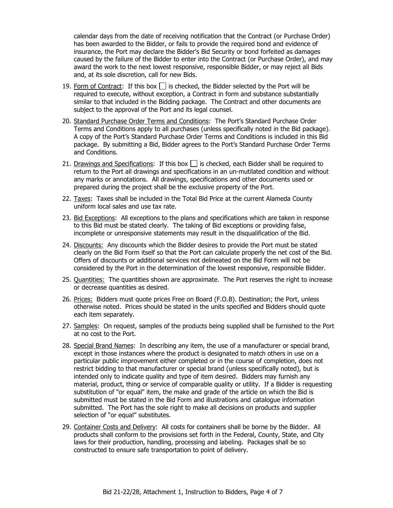calendar days from the date of receiving notification that the Contract (or Purchase Order) has been awarded to the Bidder, or fails to provide the required bond and evidence of insurance, the Port may declare the Bidder's Bid Security or bond forfeited as damages caused by the failure of the Bidder to enter into the Contract (or Purchase Order), and may award the work to the next lowest responsive, responsible Bidder, or may reject all Bids and, at its sole discretion, call for new Bids.

- 19. Form of Contract: If this box  $\Box$  is checked, the Bidder selected by the Port will be required to execute, without exception, a Contract in form and substance substantially similar to that included in the Bidding package. The Contract and other documents are subject to the approval of the Port and its legal counsel.
- 20. Standard Purchase Order Terms and Conditions: The Port's Standard Purchase Order Terms and Conditions apply to all purchases (unless specifically noted in the Bid package). A copy of the Port's Standard Purchase Order Terms and Conditions is included in this Bid package. By submitting a Bid, Bidder agrees to the Port's Standard Purchase Order Terms and Conditions.
- 21. Drawings and Specifications: If this box  $\Box$  is checked, each Bidder shall be required to return to the Port all drawings and specifications in an un-mutilated condition and without any marks or annotations. All drawings, specifications and other documents used or prepared during the project shall be the exclusive property of the Port.
- 22. Taxes: Taxes shall be included in the Total Bid Price at the current Alameda County uniform local sales and use tax rate.
- 23. Bid Exceptions: All exceptions to the plans and specifications which are taken in response to this Bid must be stated clearly. The taking of Bid exceptions or providing false, incomplete or unresponsive statements may result in the disqualification of the Bid.
- 24. Discounts: Any discounts which the Bidder desires to provide the Port must be stated clearly on the Bid Form itself so that the Port can calculate properly the net cost of the Bid. Offers of discounts or additional services not delineated on the Bid Form will not be considered by the Port in the determination of the lowest responsive, responsible Bidder.
- 25. Quantities: The quantities shown are approximate. The Port reserves the right to increase or decrease quantities as desired.
- 26. Prices: Bidders must quote prices Free on Board (F.O.B). Destination; the Port, unless otherwise noted. Prices should be stated in the units specified and Bidders should quote each item separately.
- 27. Samples: On request, samples of the products being supplied shall be furnished to the Port at no cost to the Port.
- 28. Special Brand Names: In describing any item, the use of a manufacturer or special brand, except in those instances where the product is designated to match others in use on a particular public improvement either completed or in the course of completion, does not restrict bidding to that manufacturer or special brand (unless specifically noted), but is intended only to indicate quality and type of item desired. Bidders may furnish any material, product, thing or service of comparable quality or utility. If a Bidder is requesting substitution of "or equal" item, the make and grade of the article on which the Bid is submitted must be stated in the Bid Form and illustrations and catalogue information submitted. The Port has the sole right to make all decisions on products and supplier selection of "or equal" substitutes.
- 29. Container Costs and Delivery: All costs for containers shall be borne by the Bidder. All products shall conform to the provisions set forth in the Federal, County, State, and City laws for their production, handling, processing and labeling. Packages shall be so constructed to ensure safe transportation to point of delivery.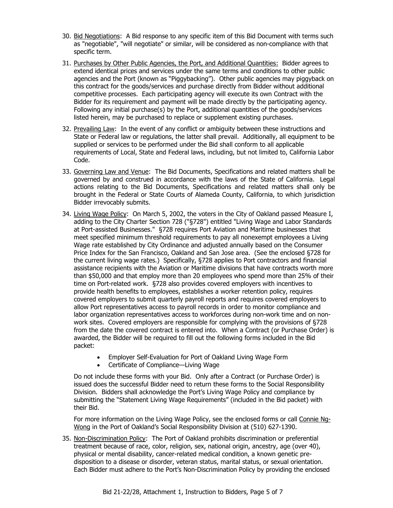- 30. Bid Negotiations: A Bid response to any specific item of this Bid Document with terms such as "negotiable", "will negotiate" or similar, will be considered as non-compliance with that specific term.
- 31. Purchases by Other Public Agencies, the Port, and Additional Quantities: Bidder agrees to extend identical prices and services under the same terms and conditions to other public agencies and the Port (known as "Piggybacking"). Other public agencies may piggyback on this contract for the goods/services and purchase directly from Bidder without additional competitive processes. Each participating agency will execute its own Contract with the Bidder for its requirement and payment will be made directly by the participating agency. Following any initial purchase(s) by the Port, additional quantities of the goods/services listed herein, may be purchased to replace or supplement existing purchases.
- 32. Prevailing Law: In the event of any conflict or ambiguity between these instructions and State or Federal law or regulations, the latter shall prevail. Additionally, all equipment to be supplied or services to be performed under the Bid shall conform to all applicable requirements of Local, State and Federal laws, including, but not limited to, California Labor Code.
- 33. Governing Law and Venue: The Bid Documents, Specifications and related matters shall be governed by and construed in accordance with the laws of the State of California. Legal actions relating to the Bid Documents, Specifications and related matters shall only be brought in the Federal or State Courts of Alameda County, California, to which jurisdiction Bidder irrevocably submits.
- 34. Living Wage Policy: On March 5, 2002, the voters in the City of Oakland passed Measure I, adding to the City Charter Section 728 ("§728") entitled "Living Wage and Labor Standards at Port-assisted Businesses." §728 requires Port Aviation and Maritime businesses that meet specified minimum threshold requirements to pay all nonexempt employees a Living Wage rate established by City Ordinance and adjusted annually based on the Consumer Price Index for the San Francisco, Oakland and San Jose area. (See the enclosed §728 for the current living wage rates.) Specifically, §728 applies to Port contractors and financial assistance recipients with the Aviation or Maritime divisions that have contracts worth more than \$50,000 and that employ more than 20 employees who spend more than 25% of their time on Port-related work. §728 also provides covered employers with incentives to provide health benefits to employees, establishes a worker retention policy, requires covered employers to submit quarterly payroll reports and requires covered employers to allow Port representatives access to payroll records in order to monitor compliance and labor organization representatives access to workforces during non-work time and on nonwork sites. Covered employers are responsible for complying with the provisions of §728 from the date the covered contract is entered into. When a Contract (or Purchase Order) is awarded, the Bidder will be required to fill out the following forms included in the Bid packet:
	- Employer Self-Evaluation for Port of Oakland Living Wage Form
	- Certificate of Compliance—Living Wage

Do not include these forms with your Bid. Only after a Contract (or Purchase Order) is issued does the successful Bidder need to return these forms to the Social Responsibility Division. Bidders shall acknowledge the Port's Living Wage Policy and compliance by submitting the "Statement Living Wage Requirements" (included in the Bid packet) with their Bid.

For more information on the Living Wage Policy, see the enclosed forms or call Connie Ng-Wong in the Port of Oakland's Social Responsibility Division at (510) 627-1390.

35. Non-Discrimination Policy: The Port of Oakland prohibits discrimination or preferential treatment because of race, color, religion, sex, national origin, ancestry, age (over 40), physical or mental disability, cancer-related medical condition, a known genetic predisposition to a disease or disorder, veteran status, marital status, or sexual orientation. Each Bidder must adhere to the Port's Non-Discrimination Policy by providing the enclosed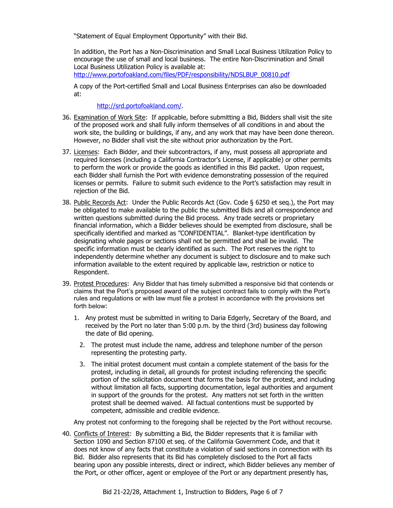"Statement of Equal Employment Opportunity" with their Bid.

In addition, the Port has a Non-Discrimination and Small Local Business Utilization Policy to encourage the use of small and local business. The entire Non-Discrimination and Small Local Business Utilization Policy is available at:

[http://www.portofoakland.com/files/PDF/responsibility/NDSLBUP\\_00810.pdf](http://www.portofoakland.com/files/PDF/responsibility/NDSLBUP_00810.pdf)

A copy of the Port-certified Small and Local Business Enterprises can also be downloaded at:

[http://srd.portofoakland.com/.](http://srd.portofoakland.com/)

- 36. Examination of Work Site: If applicable, before submitting a Bid, Bidders shall visit the site of the proposed work and shall fully inform themselves of all conditions in and about the work site, the building or buildings, if any, and any work that may have been done thereon. However, no Bidder shall visit the site without prior authorization by the Port.
- 37. Licenses: Each Bidder, and their subcontractors, if any, must possess all appropriate and required licenses (including a California Contractor's License, if applicable) or other permits to perform the work or provide the goods as identified in this Bid packet. Upon request, each Bidder shall furnish the Port with evidence demonstrating possession of the required licenses or permits. Failure to submit such evidence to the Port's satisfaction may result in rejection of the Bid.
- 38. Public Records Act: Under the Public Records Act (Gov. Code § 6250 et seq.), the Port may be obligated to make available to the public the submitted Bids and all correspondence and written questions submitted during the Bid process. Any trade secrets or proprietary financial information, which a Bidder believes should be exempted from disclosure, shall be specifically identified and marked as "CONFIDENTIAL". Blanket-type identification by designating whole pages or sections shall not be permitted and shall be invalid. The specific information must be clearly identified as such. The Port reserves the right to independently determine whether any document is subject to disclosure and to make such information available to the extent required by applicable law, restriction or notice to Respondent.
- 39. Protest Procedures:Any Bidder that has timely submitted a responsive bid that contends or claims that the Port's proposed award of the subject contract fails to comply with the Port's rules and regulations or with law must file a protest in accordance with the provisions set forth below:
	- 1. Any protest must be submitted in writing to Daria Edgerly, Secretary of the Board, and received by the Port no later than 5:00 p.m. by the third (3rd) business day following the date of Bid opening.
		- 2. The protest must include the name, address and telephone number of the person representing the protesting party.
		- 3. The initial protest document must contain a complete statement of the basis for the protest, including in detail, all grounds for protest including referencing the specific portion of the solicitation document that forms the basis for the protest, and including without limitation all facts, supporting documentation, legal authorities and argument in support of the grounds for the protest. Any matters not set forth in the written protest shall be deemed waived. All factual contentions must be supported by competent, admissible and credible evidence.

Any protest not conforming to the foregoing shall be rejected by the Port without recourse.

40. Conflicts of Interest: By submitting a Bid, the Bidder represents that it is familiar with Section 1090 and Section 87100 et seq. of the California Government Code, and that it does not know of any facts that constitute a violation of said sections in connection with its Bid. Bidder also represents that its Bid has completely disclosed to the Port all facts bearing upon any possible interests, direct or indirect, which Bidder believes any member of the Port, or other officer, agent or employee of the Port or any department presently has,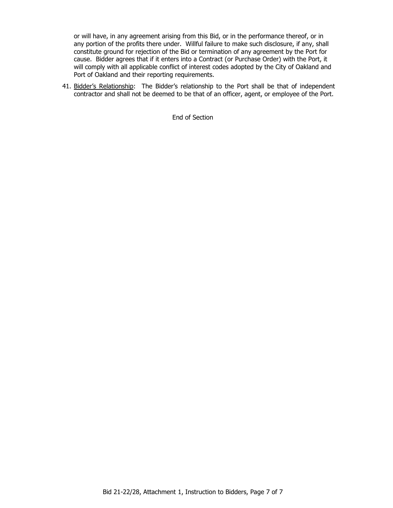or will have, in any agreement arising from this Bid, or in the performance thereof, or in any portion of the profits there under. Willful failure to make such disclosure, if any, shall constitute ground for rejection of the Bid or termination of any agreement by the Port for cause. Bidder agrees that if it enters into a Contract (or Purchase Order) with the Port, it will comply with all applicable conflict of interest codes adopted by the City of Oakland and Port of Oakland and their reporting requirements.

41. Bidder's Relationship: The Bidder's relationship to the Port shall be that of independent contractor and shall not be deemed to be that of an officer, agent, or employee of the Port.

End of Section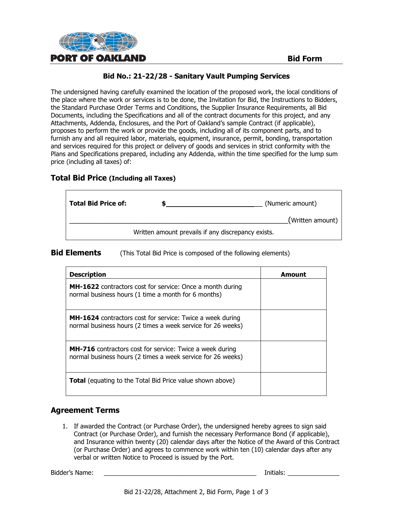

The undersigned having carefully examined the location of the proposed work, the local conditions of the place where the work or services is to be done, the Invitation for Bid, the Instructions to Bidders, the Standard Purchase Order Terms and Conditions, the Supplier Insurance Requirements, all Bid Documents, including the Specifications and all of the contract documents for this project, and any Attachments, Addenda, Enclosures, and the Port of Oakland's sample Contract (if applicable), proposes to perform the work or provide the goods, including all of its component parts, and to furnish any and all required labor, materials, equipment, insurance, permit, bonding, transportation and services required for this project or delivery of goods and services in strict conformity with the Plans and Specifications prepared, including any Addenda, within the time specified for the lump sum price (including all taxes) of:

# **Total Bid Price (Including all Taxes)**

| <b>Total Bid Price of:</b> | (Numeric amount)                                   |
|----------------------------|----------------------------------------------------|
|                            | (Written amount)                                   |
|                            | Written amount prevails if any discrepancy exists. |

#### **Bid Elements** (This Total Bid Price is composed of the following elements)

| <b>Description</b>                                                                                                              | Amount |
|---------------------------------------------------------------------------------------------------------------------------------|--------|
| <b>MH-1622</b> contractors cost for service: Once a month during<br>normal business hours (1 time a month for 6 months)         |        |
| <b>MH-1624</b> contractors cost for service: Twice a week during<br>normal business hours (2 times a week service for 26 weeks) |        |
| <b>MH-716</b> contractors cost for service: Twice a week during<br>normal business hours (2 times a week service for 26 weeks)  |        |
| <b>Total</b> (equating to the Total Bid Price value shown above)                                                                |        |

# **Agreement Terms**

1. If awarded the Contract (or Purchase Order), the undersigned hereby agrees to sign said Contract (or Purchase Order), and furnish the necessary Performance Bond (if applicable), and Insurance within twenty (20) calendar days after the Notice of the Award of this Contract (or Purchase Order) and agrees to commence work within ten (10) calendar days after any verbal or written Notice to Proceed is issued by the Port.

Bidder's Name: \_\_\_\_\_\_\_\_\_\_\_\_\_\_\_\_\_\_\_\_\_\_\_\_\_\_\_\_\_\_\_\_\_\_\_\_\_\_\_\_\_\_\_\_ Initials: \_\_\_\_\_\_\_\_\_\_\_\_\_\_\_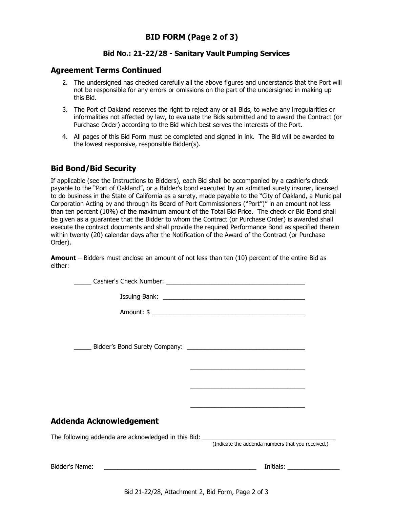#### **Agreement Terms Continued**

- 2. The undersigned has checked carefully all the above figures and understands that the Port will not be responsible for any errors or omissions on the part of the undersigned in making up this Bid.
- 3. The Port of Oakland reserves the right to reject any or all Bids, to waive any irregularities or informalities not affected by law, to evaluate the Bids submitted and to award the Contract (or Purchase Order) according to the Bid which best serves the interests of the Port.
- 4. All pages of this Bid Form must be completed and signed in ink. The Bid will be awarded to the lowest responsive, responsible Bidder(s).

# **Bid Bond/Bid Security**

If applicable (see the Instructions to Bidders), each Bid shall be accompanied by a cashier's check payable to the "Port of Oakland", or a Bidder's bond executed by an admitted surety insurer, licensed to do business in the State of California as a surety, made payable to the "City of Oakland, a Municipal Corporation Acting by and through its Board of Port Commissioners ("Port")" in an amount not less than ten percent (10%) of the maximum amount of the Total Bid Price. The check or Bid Bond shall be given as a guarantee that the Bidder to whom the Contract (or Purchase Order) is awarded shall execute the contract documents and shall provide the required Performance Bond as specified therein within twenty (20) calendar days after the Notification of the Award of the Contract (or Purchase Order).

**Amount** – Bidders must enclose an amount of not less than ten (10) percent of the entire Bid as either:

|                                                                                  | <u> Louis Communication and Communication and Communication and Communication and Communication and Communication</u>                                                                                                          |
|----------------------------------------------------------------------------------|--------------------------------------------------------------------------------------------------------------------------------------------------------------------------------------------------------------------------------|
|                                                                                  |                                                                                                                                                                                                                                |
|                                                                                  |                                                                                                                                                                                                                                |
|                                                                                  |                                                                                                                                                                                                                                |
| Addenda Acknowledgement                                                          |                                                                                                                                                                                                                                |
| The following addenda are acknowledged in this Bid: ____________________________ | (Indicate the addenda numbers that you received.)                                                                                                                                                                              |
|                                                                                  | Initials: the control of the control of the control of the control of the control of the control of the control of the control of the control of the control of the control of the control of the control of the control of th |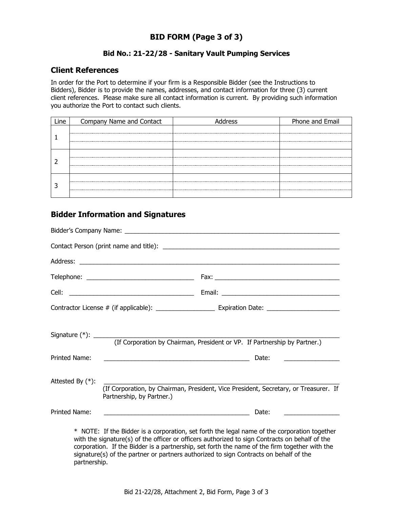# **BID FORM (Page 3 of 3)**

#### **Bid No.: 21-22/28 - Sanitary Vault Pumping Services**

#### **Client References**

In order for the Port to determine if your firm is a Responsible Bidder (see the Instructions to Bidders), Bidder is to provide the names, addresses, and contact information for three (3) current client references. Please make sure all contact information is current. By providing such information you authorize the Port to contact such clients.

| Company Name and Contact | Phone and Email |
|--------------------------|-----------------|
|                          |                 |
|                          |                 |
|                          |                 |
|                          |                 |
|                          |                 |
|                          |                 |
|                          |                 |
|                          |                 |

#### **Bidder Information and Signatures**

|                     | (If Corporation by Chairman, President or VP. If Partnership by Partner.)                                                                                                                      |
|---------------------|------------------------------------------------------------------------------------------------------------------------------------------------------------------------------------------------|
| Printed Name:       | Date:<br><u> 1990 - Johann Barbara, martin amerikan basar dan berasal dalam basa dalam basar dalam basar dalam basar dala</u>                                                                  |
| Attested By $(*)$ : | (If Corporation, by Chairman, President, Vice President, Secretary, or Treasurer. If<br>Partnership, by Partner.)                                                                              |
| Printed Name:       | Date:<br><u> 1989 - Johann Barn, fransk politik amerikansk politik (</u>                                                                                                                       |
|                     | * NOTE: If the Bidder is a corporation, set forth the legal name of the corporation together<br>with the signature(s) of the officer or officers authorized to sign Contracts on behalf of the |

with the signature(s) of the officer or officers authorized to sign Contracts on behalf of the corporation. If the Bidder is a partnership, set forth the name of the firm together with the signature(s) of the partner or partners authorized to sign Contracts on behalf of the partnership.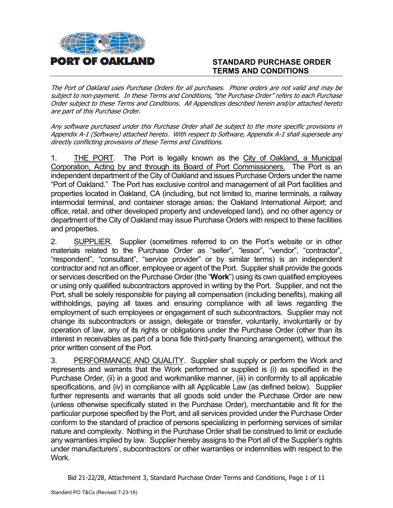

# **STANDARD PURCHASE ORDER TERMS AND CONDITIONS**

The Port of Oakland uses Purchase Orders for all purchases. Phone orders are not valid and may be subject to non-payment. In these Terms and Conditions, "the Purchase Order" refers to each Purchase Order subject to these Terms and Conditions. All Appendices described herein and/or attached hereto are part of this Purchase Order.

Any software purchased under this Purchase Order shall be subject to the more specific provisions in Appendix A-1 (Software) attached hereto. With respect to Software, Appendix A-1 shall supersede any directly conflicting provisions of these Terms and Conditions.

1. THE PORT. The Port is legally known as the City of Oakland, a Municipal Corporation, Acting by and through its Board of Port Commissioners. The Port is an independent department of the City of Oakland and issues Purchase Orders under the name "Port of Oakland." The Port has exclusive control and management of all Port facilities and properties located in Oakland, CA (including, but not limited to, marine terminals, a railway intermodal terminal, and container storage areas; the Oakland International Airport; and office, retail, and other developed property and undeveloped land), and no other agency or department of the City of Oakland may issue Purchase Orders with respect to these facilities and properties.

2. SUPPLIER. Supplier (sometimes referred to on the Port's website or in other materials related to the Purchase Order as "seller", "lessor", "vendor", "contractor", "respondent", "consultant", "service provider" or by similar terms) is an independent contractor and not an officer, employee or agent of the Port. Supplier shall provide the goods or services described on the Purchase Order (the "**Work**") using its own qualified employees or using only qualified subcontractors approved in writing by the Port. Supplier, and not the Port, shall be solely responsible for paying all compensation (including benefits), making all withholdings, paying all taxes and ensuring compliance with all laws regarding the employment of such employees or engagement of such subcontractors. Supplier may not change its subcontractors or assign, delegate or transfer, voluntarily, involuntarily or by operation of law, any of its rights or obligations under the Purchase Order (other than its interest in receivables as part of a bona fide third-party financing arrangement), without the prior written consent of the Port.

3. PERFORMANCE AND QUALITY. Supplier shall supply or perform the Work and represents and warrants that the Work performed or supplied is (i) as specified in the Purchase Order, (ii) in a good and workmanlike manner, (iii) in conformity to all applicable specifications, and (iv) in compliance with all Applicable Law (as defined below). Supplier further represents and warrants that all goods sold under the Purchase Order are new (unless otherwise specifically stated in the Purchase Order), merchantable and fit for the particular purpose specified by the Port, and all services provided under the Purchase Order conform to the standard of practice of persons specializing in performing services of similar nature and complexity. Nothing in the Purchase Order shall be construed to limit or exclude any warranties implied by law. Supplier hereby assigns to the Port all of the Supplier's rights under manufacturers', subcontractors' or other warranties or indemnities with respect to the Work.

Bid 21-22/28, Attachment 3, Standard Purchase Order Terms and Conditions, Page 1 of 11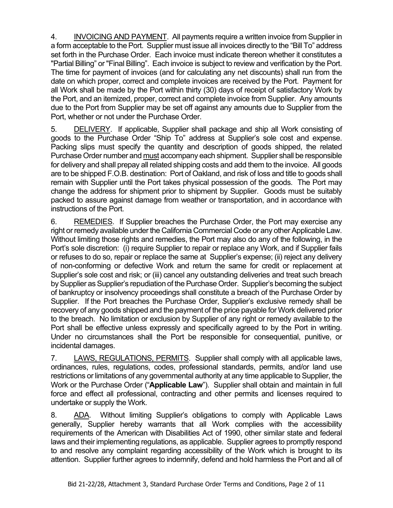4. INVOICING AND PAYMENT. All payments require a written invoice from Supplier in a form acceptable to the Port. Supplier must issue all invoices directly to the "Bill To" address set forth in the Purchase Order. Each invoice must indicate thereon whether it constitutes a "Partial Billing" or "Final Billing". Each invoice is subject to review and verification by the Port. The time for payment of invoices (and for calculating any net discounts) shall run from the date on which proper, correct and complete invoices are received by the Port. Payment for all Work shall be made by the Port within thirty (30) days of receipt of satisfactory Work by the Port, and an itemized, proper, correct and complete invoice from Supplier. Any amounts due to the Port from Supplier may be set off against any amounts due to Supplier from the Port, whether or not under the Purchase Order.

5. DELIVERY. If applicable, Supplier shall package and ship all Work consisting of goods to the Purchase Order "Ship To" address at Supplier's sole cost and expense. Packing slips must specify the quantity and description of goods shipped, the related Purchase Order number and must accompany each shipment. Supplier shall be responsible for delivery and shall prepay all related shipping costs and add them to the invoice. All goods are to be shipped F.O.B. destination: Port of Oakland, and risk of loss and title to goods shall remain with Supplier until the Port takes physical possession of the goods. The Port may change the address for shipment prior to shipment by Supplier. Goods must be suitably packed to assure against damage from weather or transportation, and in accordance with instructions of the Port.

6. REMEDIES. If Supplier breaches the Purchase Order, the Port may exercise any right or remedy available under the California Commercial Code or any other Applicable Law. Without limiting those rights and remedies, the Port may also do any of the following, in the Port's sole discretion: (i) require Supplier to repair or replace any Work, and if Supplier fails or refuses to do so, repair or replace the same at Supplier's expense; (ii) reject any delivery of non-conforming or defective Work and return the same for credit or replacement at Supplier's sole cost and risk; or (iii) cancel any outstanding deliveries and treat such breach by Supplier as Supplier's repudiation of the Purchase Order. Supplier's becoming the subject of bankruptcy or insolvency proceedings shall constitute a breach of the Purchase Order by Supplier. If the Port breaches the Purchase Order, Supplier's exclusive remedy shall be recovery of any goods shipped and the payment of the price payable for Work delivered prior to the breach. No limitation or exclusion by Supplier of any right or remedy available to the Port shall be effective unless expressly and specifically agreed to by the Port in writing. Under no circumstances shall the Port be responsible for consequential, punitive, or incidental damages.

7. LAWS, REGULATIONS, PERMITS. Supplier shall comply with all applicable laws, ordinances, rules, regulations, codes, professional standards, permits, and/or land use restrictions or limitations of any governmental authority at any time applicable to Supplier, the Work or the Purchase Order ("**Applicable Law**"). Supplier shall obtain and maintain in full force and effect all professional, contracting and other permits and licenses required to undertake or supply the Work.

8. ADA. Without limiting Supplier's obligations to comply with Applicable Laws generally, Supplier hereby warrants that all Work complies with the accessibility requirements of the American with Disabilities Act of 1990, other similar state and federal laws and their implementing regulations, as applicable. Supplier agrees to promptly respond to and resolve any complaint regarding accessibility of the Work which is brought to its attention. Supplier further agrees to indemnify, defend and hold harmless the Port and all of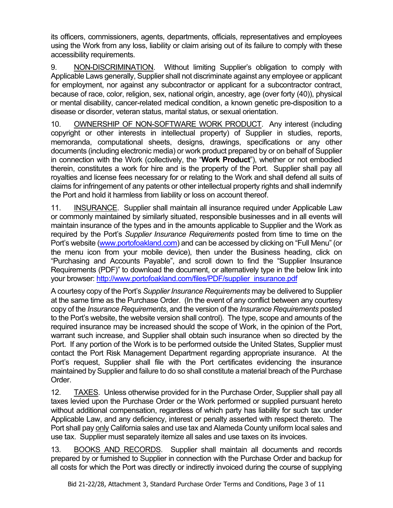its officers, commissioners, agents, departments, officials, representatives and employees using the Work from any loss, liability or claim arising out of its failure to comply with these accessibility requirements.

9. NON-DISCRIMINATION. Without limiting Supplier's obligation to comply with Applicable Laws generally, Supplier shall not discriminate against any employee or applicant for employment, nor against any subcontractor or applicant for a subcontractor contract, because of race, color, religion, sex, national origin, ancestry, age (over forty (40)), physical or mental disability, cancer-related medical condition, a known genetic pre-disposition to a disease or disorder, veteran status, marital status, or sexual orientation.

10. OWNERSHIP OF NON-SOFTWARE WORK PRODUCT. Any interest (including copyright or other interests in intellectual property) of Supplier in studies, reports, memoranda, computational sheets, designs, drawings, specifications or any other documents (including electronic media) or work product prepared by or on behalf of Supplier in connection with the Work (collectively, the "**Work Product**"), whether or not embodied therein, constitutes a work for hire and is the property of the Port. Supplier shall pay all royalties and license fees necessary for or relating to the Work and shall defend all suits of claims for infringement of any patents or other intellectual property rights and shall indemnify the Port and hold it harmless from liability or loss on account thereof.

11. INSURANCE. Supplier shall maintain all insurance required under Applicable Law or commonly maintained by similarly situated, responsible businesses and in all events will maintain insurance of the types and in the amounts applicable to Supplier and the Work as required by the Port's *Supplier Insurance Requirements* posted from time to time on the Port's website [\(www.portofoakland.com\)](http://www.portofoakland.com/) and can be accessed by clicking on "Full Menu" (or the menu icon from your mobile device), then under the Business heading, click on "Purchasing and Accounts Payable", and scroll down to find the "Supplier Insurance Requirements (PDF)" to download the document, or alternatively type in the below link into your browser: [http://www.portofoakland.com/files/PDF/supplier\\_insurance.pdf](http://www.portofoakland.com/files/PDF/supplier_insurance.pdf)

A courtesy copy of the Port's *Supplier Insurance Requirements* may be delivered to Supplier at the same time as the Purchase Order. (In the event of any conflict between any courtesy copy of the *Insurance Requirements*, and the version of the *Insurance Requirements* posted to the Port's website, the website version shall control). The type, scope and amounts of the required insurance may be increased should the scope of Work, in the opinion of the Port, warrant such increase, and Supplier shall obtain such insurance when so directed by the Port. If any portion of the Work is to be performed outside the United States, Supplier must contact the Port Risk Management Department regarding appropriate insurance. At the Port's request, Supplier shall file with the Port certificates evidencing the insurance maintained by Supplier and failure to do so shall constitute a material breach of the Purchase Order.

12. TAXES. Unless otherwise provided for in the Purchase Order, Supplier shall pay all taxes levied upon the Purchase Order or the Work performed or supplied pursuant hereto without additional compensation, regardless of which party has liability for such tax under Applicable Law, and any deficiency, interest or penalty asserted with respect thereto. The Port shall pay only California sales and use tax and Alameda County uniform local sales and use tax. Supplier must separately itemize all sales and use taxes on its invoices.

13. BOOKS AND RECORDS. Supplier shall maintain all documents and records prepared by or furnished to Supplier in connection with the Purchase Order and backup for all costs for which the Port was directly or indirectly invoiced during the course of supplying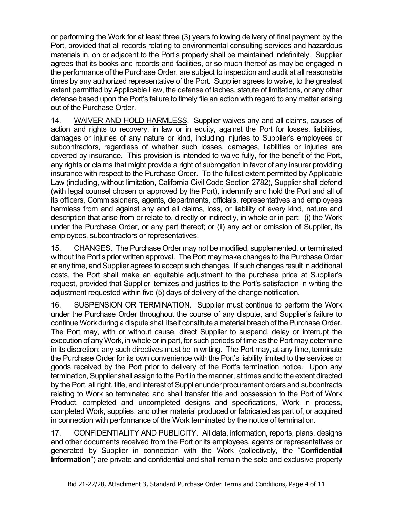or performing the Work for at least three (3) years following delivery of final payment by the Port, provided that all records relating to environmental consulting services and hazardous materials in, on or adjacent to the Port's property shall be maintained indefinitely. Supplier agrees that its books and records and facilities, or so much thereof as may be engaged in the performance of the Purchase Order, are subject to inspection and audit at all reasonable times by any authorized representative of the Port. Supplier agrees to waive, to the greatest extent permitted by Applicable Law, the defense of laches, statute of limitations, or any other defense based upon the Port's failure to timely file an action with regard to any matter arising out of the Purchase Order.

14. WAIVER AND HOLD HARMLESS. Supplier waives any and all claims, causes of action and rights to recovery, in law or in equity, against the Port for losses, liabilities, damages or injuries of any nature or kind, including injuries to Supplier's employees or subcontractors, regardless of whether such losses, damages, liabilities or injuries are covered by insurance. This provision is intended to waive fully, for the benefit of the Port, any rights or claims that might provide a right of subrogation in favor of any insurer providing insurance with respect to the Purchase Order. To the fullest extent permitted by Applicable Law (including, without limitation, California Civil Code Section 2782), Supplier shall defend (with legal counsel chosen or approved by the Port), indemnify and hold the Port and all of its officers, Commissioners, agents, departments, officials, representatives and employees harmless from and against any and all claims, loss, or liability of every kind, nature and description that arise from or relate to, directly or indirectly, in whole or in part: (i) the Work under the Purchase Order, or any part thereof; or (ii) any act or omission of Supplier, its employees, subcontractors or representatives.

15. CHANGES. The Purchase Order may not be modified, supplemented, or terminated without the Port's prior written approval. The Port may make changes to the Purchase Order at any time, and Supplier agrees to accept such changes. If such changes result in additional costs, the Port shall make an equitable adjustment to the purchase price at Supplier's request, provided that Supplier itemizes and justifies to the Port's satisfaction in writing the adjustment requested within five (5) days of delivery of the change notification.

16. SUSPENSION OR TERMINATION. Supplier must continue to perform the Work under the Purchase Order throughout the course of any dispute, and Supplier's failure to continue Work during a dispute shall itself constitute a material breach of the Purchase Order. The Port may, with or without cause, direct Supplier to suspend, delay or interrupt the execution of any Work, in whole or in part, for such periods of time as the Port may determine in its discretion; any such directives must be in writing. The Port may, at any time, terminate the Purchase Order for its own convenience with the Port's liability limited to the services or goods received by the Port prior to delivery of the Port's termination notice. Upon any termination, Supplier shall assign to the Port in the manner, at times and to the extent directed by the Port, all right, title, and interest of Supplier under procurement orders and subcontracts relating to Work so terminated and shall transfer title and possession to the Port of Work Product, completed and uncompleted designs and specifications, Work in process, completed Work, supplies, and other material produced or fabricated as part of, or acquired in connection with performance of the Work terminated by the notice of termination.

17. CONFIDENTIALITY AND PUBLICITY. All data, information, reports, plans, designs and other documents received from the Port or its employees, agents or representatives or generated by Supplier in connection with the Work (collectively, the "**Confidential Information**") are private and confidential and shall remain the sole and exclusive property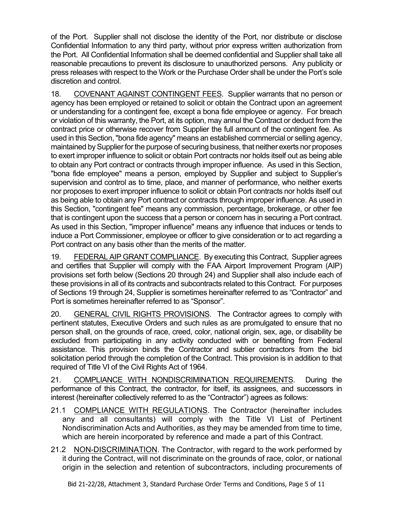of the Port. Supplier shall not disclose the identity of the Port, nor distribute or disclose Confidential Information to any third party, without prior express written authorization from the Port. All Confidential Information shall be deemed confidential and Supplier shall take all reasonable precautions to prevent its disclosure to unauthorized persons. Any publicity or press releases with respect to the Work or the Purchase Order shall be under the Port's sole discretion and control.

18. COVENANT AGAINST CONTINGENT FEES. Supplier warrants that no person or agency has been employed or retained to solicit or obtain the Contract upon an agreement or understanding for a contingent fee, except a bona fide employee or agency. For breach or violation of this warranty, the Port, at its option, may annul the Contract or deduct from the contract price or otherwise recover from Supplier the full amount of the contingent fee. As used in this Section, "bona fide agency" means an established commercial or selling agency, maintained by Supplier for the purpose of securing business, that neither exerts nor proposes to exert improper influence to solicit or obtain Port contracts nor holds itself out as being able to obtain any Port contract or contracts through improper influence. As used in this Section, "bona fide employee" means a person, employed by Supplier and subject to Supplier's supervision and control as to time, place, and manner of performance, who neither exerts nor proposes to exert improper influence to solicit or obtain Port contracts nor holds itself out as being able to obtain any Port contract or contracts through improper influence. As used in this Section, "contingent fee" means any commission, percentage, brokerage, or other fee that is contingent upon the success that a person or concern has in securing a Port contract. As used in this Section, "improper influence" means any influence that induces or tends to induce a Port Commissioner, employee or officer to give consideration or to act regarding a Port contract on any basis other than the merits of the matter.

19. FEDERAL AIP GRANT COMPLIANCE. By executing this Contract, Supplier agrees and certifies that Supplier will comply with the FAA Airport Improvement Program (AIP) provisions set forth below (Sections 20 through 24) and Supplier shall also include each of these provisions in all of its contracts and subcontracts related to this Contract. For purposes of Sections 19 through 24, Supplier is sometimes hereinafter referred to as "Contractor" and Port is sometimes hereinafter referred to as "Sponsor".

20. GENERAL CIVIL RIGHTS PROVISIONS.The Contractor agrees to comply with pertinent statutes, Executive Orders and such rules as are promulgated to ensure that no person shall, on the grounds of race, creed, color, national origin, sex, age, or disability be excluded from participating in any activity conducted with or benefiting from Federal assistance. This provision binds the Contractor and subtier contractors from the bid solicitation period through the completion of the Contract. This provision is in addition to that required of Title VI of the Civil Rights Act of 1964.

21. COMPLIANCE WITH NONDISCRIMINATION REQUIREMENTS. During the performance of this Contract, the contractor, for itself, its assignees, and successors in interest (hereinafter collectively referred to as the "Contractor") agrees as follows:

- 21.1 COMPLIANCE WITH REGULATIONS. The Contractor (hereinafter includes any and all consultants) will comply with the Title VI List of Pertinent Nondiscrimination Acts and Authorities, as they may be amended from time to time, which are herein incorporated by reference and made a part of this Contract.
- 21.2 NON-DISCRIMINATION. The Contractor, with regard to the work performed by it during the Contract, will not discriminate on the grounds of race, color, or national origin in the selection and retention of subcontractors, including procurements of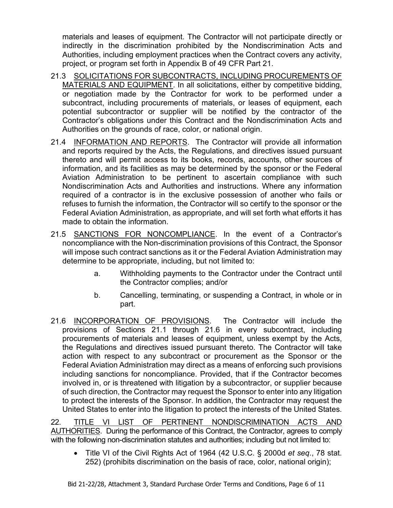materials and leases of equipment. The Contractor will not participate directly or indirectly in the discrimination prohibited by the Nondiscrimination Acts and Authorities, including employment practices when the Contract covers any activity, project, or program set forth in Appendix B of 49 CFR Part 21.

- 21.3 SOLICITATIONS FOR SUBCONTRACTS, INCLUDING PROCUREMENTS OF MATERIALS AND EQUIPMENT. In all solicitations, either by competitive bidding, or negotiation made by the Contractor for work to be performed under a subcontract, including procurements of materials, or leases of equipment, each potential subcontractor or supplier will be notified by the contractor of the Contractor's obligations under this Contract and the Nondiscrimination Acts and Authorities on the grounds of race, color, or national origin.
- 21.4 INFORMATION AND REPORTS. The Contractor will provide all information and reports required by the Acts, the Regulations, and directives issued pursuant thereto and will permit access to its books, records, accounts, other sources of information, and its facilities as may be determined by the sponsor or the Federal Aviation Administration to be pertinent to ascertain compliance with such Nondiscrimination Acts and Authorities and instructions. Where any information required of a contractor is in the exclusive possession of another who fails or refuses to furnish the information, the Contractor will so certify to the sponsor or the Federal Aviation Administration, as appropriate, and will set forth what efforts it has made to obtain the information.
- 21.5 SANCTIONS FOR NONCOMPLIANCE. In the event of a Contractor's noncompliance with the Non-discrimination provisions of this Contract, the Sponsor will impose such contract sanctions as it or the Federal Aviation Administration may determine to be appropriate, including, but not limited to:
	- a. Withholding payments to the Contractor under the Contract until the Contractor complies; and/or
	- b. Cancelling, terminating, or suspending a Contract, in whole or in part.
- 21.6 INCORPORATION OF PROVISIONS.The Contractor will include the provisions of Sections 21.1 through 21.6 in every subcontract, including procurements of materials and leases of equipment, unless exempt by the Acts, the Regulations and directives issued pursuant thereto. The Contractor will take action with respect to any subcontract or procurement as the Sponsor or the Federal Aviation Administration may direct as a means of enforcing such provisions including sanctions for noncompliance. Provided, that if the Contractor becomes involved in, or is threatened with litigation by a subcontractor, or supplier because of such direction, the Contractor may request the Sponsor to enter into any litigation to protect the interests of the Sponsor. In addition, the Contractor may request the United States to enter into the litigation to protect the interests of the United States.

22. TITLE VI LIST OF PERTINENT NONDISCRIMINATION ACTS AND AUTHORITIES. During the performance of this Contract, the Contractor, agrees to comply with the following non-discrimination statutes and authorities; including but not limited to:

• Title VI of the Civil Rights Act of 1964 (42 U.S.C. § 2000d *et seq*., 78 stat. 252) (prohibits discrimination on the basis of race, color, national origin);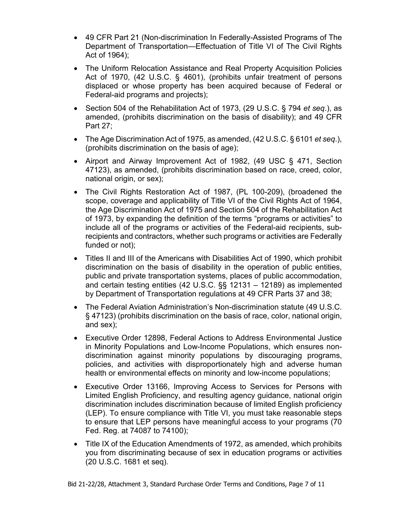- 49 CFR Part 21 (Non-discrimination In Federally-Assisted Programs of The Department of Transportation—Effectuation of Title VI of The Civil Rights Act of 1964);
- The Uniform Relocation Assistance and Real Property Acquisition Policies Act of 1970, (42 U.S.C. § 4601), (prohibits unfair treatment of persons displaced or whose property has been acquired because of Federal or Federal-aid programs and projects);
- Section 504 of the Rehabilitation Act of 1973, (29 U.S.C. § 794 *et seq*.), as amended, (prohibits discrimination on the basis of disability); and 49 CFR Part 27;
- The Age Discrimination Act of 1975, as amended, (42 U.S.C. § 6101 *et seq*.), (prohibits discrimination on the basis of age);
- Airport and Airway Improvement Act of 1982, (49 USC § 471, Section 47123), as amended, (prohibits discrimination based on race, creed, color, national origin, or sex);
- The Civil Rights Restoration Act of 1987, (PL 100-209), (broadened the scope, coverage and applicability of Title VI of the Civil Rights Act of 1964, the Age Discrimination Act of 1975 and Section 504 of the Rehabilitation Act of 1973, by expanding the definition of the terms "programs or activities" to include all of the programs or activities of the Federal-aid recipients, subrecipients and contractors, whether such programs or activities are Federally funded or not);
- Titles II and III of the Americans with Disabilities Act of 1990, which prohibit discrimination on the basis of disability in the operation of public entities, public and private transportation systems, places of public accommodation, and certain testing entities (42 U.S.C. §§ 12131 – 12189) as implemented by Department of Transportation regulations at 49 CFR Parts 37 and 38;
- The Federal Aviation Administration's Non-discrimination statute (49 U.S.C. § 47123) (prohibits discrimination on the basis of race, color, national origin, and sex);
- Executive Order 12898, Federal Actions to Address Environmental Justice in Minority Populations and Low-Income Populations, which ensures nondiscrimination against minority populations by discouraging programs, policies, and activities with disproportionately high and adverse human health or environmental effects on minority and low-income populations;
- Executive Order 13166, Improving Access to Services for Persons with Limited English Proficiency, and resulting agency guidance, national origin discrimination includes discrimination because of limited English proficiency (LEP). To ensure compliance with Title VI, you must take reasonable steps to ensure that LEP persons have meaningful access to your programs (70 Fed. Reg. at 74087 to 74100);
- Title IX of the Education Amendments of 1972, as amended, which prohibits you from discriminating because of sex in education programs or activities (20 U.S.C. 1681 et seq).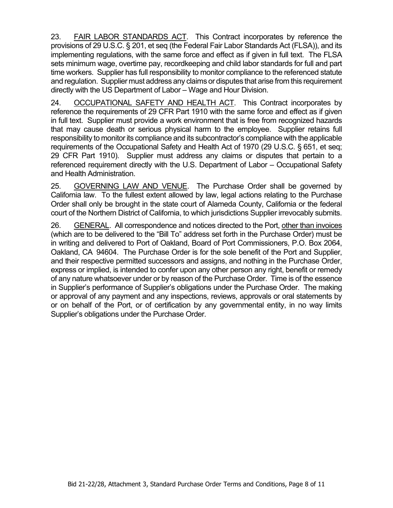23. FAIR LABOR STANDARDS ACT. This Contract incorporates by reference the provisions of 29 U.S.C. § 201, et seq (the Federal Fair Labor Standards Act (FLSA)), and its implementing regulations, with the same force and effect as if given in full text. The FLSA sets minimum wage, overtime pay, recordkeeping and child labor standards for full and part time workers. Supplier has full responsibility to monitor compliance to the referenced statute and regulation. Supplier must address any claims or disputes that arise from this requirement directly with the US Department of Labor – Wage and Hour Division.

24. OCCUPATIONAL SAFETY AND HEALTH ACT.This Contract incorporates by reference the requirements of 29 CFR Part 1910 with the same force and effect as if given in full text. Supplier must provide a work environment that is free from recognized hazards that may cause death or serious physical harm to the employee. Supplier retains full responsibility to monitor its compliance and its subcontractor's compliance with the applicable requirements of the Occupational Safety and Health Act of 1970 (29 U.S.C. § 651, et seq; 29 CFR Part 1910). Supplier must address any claims or disputes that pertain to a referenced requirement directly with the U.S. Department of Labor – Occupational Safety and Health Administration.

25. GOVERNING LAW AND VENUE. The Purchase Order shall be governed by California law. To the fullest extent allowed by law, legal actions relating to the Purchase Order shall only be brought in the state court of Alameda County, California or the federal court of the Northern District of California, to which jurisdictions Supplier irrevocably submits.

26. GENERAL. All correspondence and notices directed to the Port, other than invoices (which are to be delivered to the "Bill To" address set forth in the Purchase Order) must be in writing and delivered to Port of Oakland, Board of Port Commissioners, P.O. Box 2064, Oakland, CA 94604. The Purchase Order is for the sole benefit of the Port and Supplier, and their respective permitted successors and assigns, and nothing in the Purchase Order, express or implied, is intended to confer upon any other person any right, benefit or remedy of any nature whatsoever under or by reason of the Purchase Order. Time is of the essence in Supplier's performance of Supplier's obligations under the Purchase Order. The making or approval of any payment and any inspections, reviews, approvals or oral statements by or on behalf of the Port, or of certification by any governmental entity, in no way limits Supplier's obligations under the Purchase Order.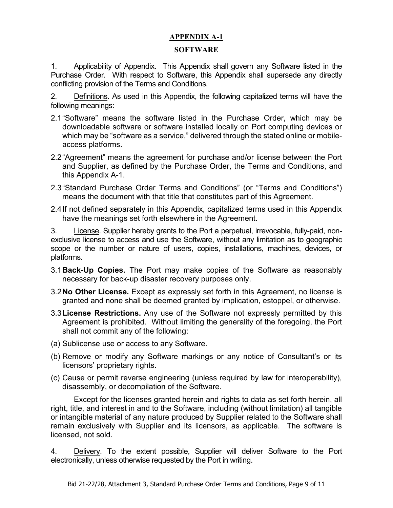# **APPENDIX A-1**

#### **SOFTWARE**

1. Applicability of Appendix. This Appendix shall govern any Software listed in the Purchase Order. With respect to Software, this Appendix shall supersede any directly conflicting provision of the Terms and Conditions.

2. Definitions. As used in this Appendix, the following capitalized terms will have the following meanings:

- 2.1"Software" means the software listed in the Purchase Order, which may be downloadable software or software installed locally on Port computing devices or which may be "software as a service," delivered through the stated online or mobileaccess platforms.
- 2.2"Agreement" means the agreement for purchase and/or license between the Port and Supplier, as defined by the Purchase Order, the Terms and Conditions, and this Appendix A-1.
- 2.3"Standard Purchase Order Terms and Conditions" (or "Terms and Conditions") means the document with that title that constitutes part of this Agreement.
- 2.4If not defined separately in this Appendix, capitalized terms used in this Appendix have the meanings set forth elsewhere in the Agreement.

3. License. Supplier hereby grants to the Port a perpetual, irrevocable, fully-paid, nonexclusive license to access and use the Software, without any limitation as to geographic scope or the number or nature of users, copies, installations, machines, devices, or platforms.

- 3.1**Back-Up Copies.** The Port may make copies of the Software as reasonably necessary for back-up disaster recovery purposes only.
- 3.2**No Other License.** Except as expressly set forth in this Agreement, no license is granted and none shall be deemed granted by implication, estoppel, or otherwise.
- 3.3**License Restrictions.** Any use of the Software not expressly permitted by this Agreement is prohibited. Without limiting the generality of the foregoing, the Port shall not commit any of the following:
- (a) Sublicense use or access to any Software.
- (b) Remove or modify any Software markings or any notice of Consultant's or its licensors' proprietary rights.
- (c) Cause or permit reverse engineering (unless required by law for interoperability), disassembly, or decompilation of the Software.

Except for the licenses granted herein and rights to data as set forth herein, all right, title, and interest in and to the Software, including (without limitation) all tangible or intangible material of any nature produced by Supplier related to the Software shall remain exclusively with Supplier and its licensors, as applicable. The software is licensed, not sold.

4. Delivery. To the extent possible, Supplier will deliver Software to the Port electronically, unless otherwise requested by the Port in writing.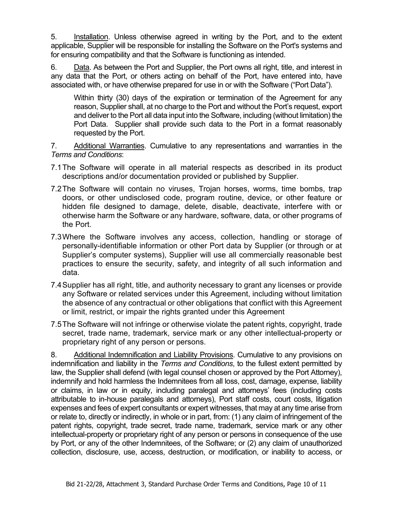5. Installation. Unless otherwise agreed in writing by the Port, and to the extent applicable, Supplier will be responsible for installing the Software on the Port's systems and for ensuring compatibility and that the Software is functioning as intended.

6. Data. As between the Port and Supplier, the Port owns all right, title, and interest in any data that the Port, or others acting on behalf of the Port, have entered into, have associated with, or have otherwise prepared for use in or with the Software ("Port Data").

Within thirty (30) days of the expiration or termination of the Agreement for any reason, Supplier shall, at no charge to the Port and without the Port's request, export and deliver to the Port all data input into the Software, including (without limitation) the Port Data. Supplier shall provide such data to the Port in a format reasonably requested by the Port.

7. Additional Warranties. Cumulative to any representations and warranties in the *Terms and Conditions*:

- 7.1The Software will operate in all material respects as described in its product descriptions and/or documentation provided or published by Supplier.
- 7.2The Software will contain no viruses, Trojan horses, worms, time bombs, trap doors, or other undisclosed code, program routine, device, or other feature or hidden file designed to damage, delete, disable, deactivate, interfere with or otherwise harm the Software or any hardware, software, data, or other programs of the Port.
- 7.3Where the Software involves any access, collection, handling or storage of personally-identifiable information or other Port data by Supplier (or through or at Supplier's computer systems), Supplier will use all commercially reasonable best practices to ensure the security, safety, and integrity of all such information and data.
- 7.4Supplier has all right, title, and authority necessary to grant any licenses or provide any Software or related services under this Agreement, including without limitation the absence of any contractual or other obligations that conflict with this Agreement or limit, restrict, or impair the rights granted under this Agreement
- 7.5The Software will not infringe or otherwise violate the patent rights, copyright, trade secret, trade name, trademark, service mark or any other intellectual-property or proprietary right of any person or persons.

8. Additional Indemnification and Liability Provisions. Cumulative to any provisions on indemnification and liability in the *Terms and Conditions*, to the fullest extent permitted by law, the Supplier shall defend (with legal counsel chosen or approved by the Port Attorney), indemnify and hold harmless the Indemnitees from all loss, cost, damage, expense, liability or claims, in law or in equity, including paralegal and attorneys' fees (including costs attributable to in-house paralegals and attorneys), Port staff costs, court costs, litigation expenses and fees of expert consultants or expert witnesses, that may at any time arise from or relate to, directly or indirectly, in whole or in part, from: (1) any claim of infringement of the patent rights, copyright, trade secret, trade name, trademark, service mark or any other intellectual-property or proprietary right of any person or persons in consequence of the use by Port, or any of the other Indemnitees, of the Software; or (2) any claim of unauthorized collection, disclosure, use, access, destruction, or modification, or inability to access, or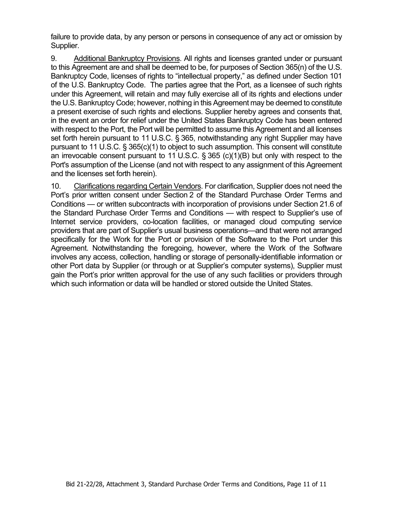failure to provide data, by any person or persons in consequence of any act or omission by Supplier.

9. Additional Bankruptcy Provisions. All rights and licenses granted under or pursuant to this Agreement are and shall be deemed to be, for purposes of Section 365(n) of the U.S. Bankruptcy Code, licenses of rights to "intellectual property," as defined under Section 101 of the U.S. Bankruptcy Code. The parties agree that the Port, as a licensee of such rights under this Agreement, will retain and may fully exercise all of its rights and elections under the U.S. Bankruptcy Code; however, nothing in this Agreement may be deemed to constitute a present exercise of such rights and elections. Supplier hereby agrees and consents that, in the event an order for relief under the United States Bankruptcy Code has been entered with respect to the Port, the Port will be permitted to assume this Agreement and all licenses set forth herein pursuant to 11 U.S.C. § 365, notwithstanding any right Supplier may have pursuant to 11 U.S.C. § 365(c)(1) to object to such assumption. This consent will constitute an irrevocable consent pursuant to 11 U.S.C. § 365 (c)(1)(B) but only with respect to the Port's assumption of the License (and not with respect to any assignment of this Agreement and the licenses set forth herein).

10. Clarifications regarding Certain Vendors. For clarification, Supplier does not need the Port's prior written consent under Section 2 of the Standard Purchase Order Terms and Conditions — or written subcontracts with incorporation of provisions under Section 21.6 of the Standard Purchase Order Terms and Conditions — with respect to Supplier's use of Internet service providers, co-location facilities, or managed cloud computing service providers that are part of Supplier's usual business operations—and that were not arranged specifically for the Work for the Port or provision of the Software to the Port under this Agreement. Notwithstanding the foregoing, however, where the Work of the Software involves any access, collection, handling or storage of personally-identifiable information or other Port data by Supplier (or through or at Supplier's computer systems), Supplier must gain the Port's prior written approval for the use of any such facilities or providers through which such information or data will be handled or stored outside the United States.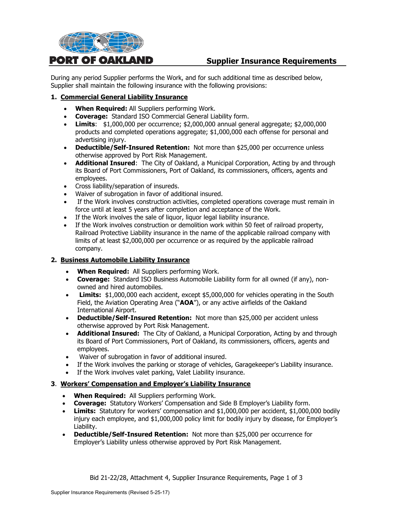

# **Supplier Insurance Requirements**

During any period Supplier performs the Work, and for such additional time as described below, Supplier shall maintain the following insurance with the following provisions:

#### **1. Commercial General Liability Insurance**

- **When Required:** All Suppliers performing Work.
- **Coverage:** Standard ISO Commercial General Liability form.
- **Limits**: \$1,000,000 per occurrence; \$2,000,000 annual general aggregate; \$2,000,000 products and completed operations aggregate; \$1,000,000 each offense for personal and advertising injury.
- **Deductible/Self-Insured Retention:** Not more than \$25,000 per occurrence unless otherwise approved by Port Risk Management.
- **Additional Insured**: The City of Oakland, a Municipal Corporation, Acting by and through its Board of Port Commissioners, Port of Oakland, its commissioners, officers, agents and employees.
- Cross liability/separation of insureds.
- Waiver of subrogation in favor of additional insured.
- If the Work involves construction activities, completed operations coverage must remain in force until at least 5 years after completion and acceptance of the Work.
- If the Work involves the sale of liquor, liquor legal liability insurance.
- If the Work involves construction or demolition work within 50 feet of railroad property, Railroad Protective Liability insurance in the name of the applicable railroad company with limits of at least \$2,000,000 per occurrence or as required by the applicable railroad company.

#### **2. Business Automobile Liability Insurance**

- **When Required:** All Suppliers performing Work.
- **Coverage:** Standard ISO Business Automobile Liability form for all owned (if any), nonowned and hired automobiles.
- **Limits:** \$1,000,000 each accident, except \$5,000,000 for vehicles operating in the South Field, the Aviation Operating Area ("**AOA**"), or any active airfields of the Oakland International Airport.
- **Deductible/Self-Insured Retention:** Not more than \$25,000 per accident unless otherwise approved by Port Risk Management.
- **Additional Insured:** The City of Oakland, a Municipal Corporation, Acting by and through its Board of Port Commissioners, Port of Oakland, its commissioners, officers, agents and employees.
- Waiver of subrogation in favor of additional insured.
- If the Work involves the parking or storage of vehicles, Garagekeeper's Liability insurance.
- If the Work involves valet parking, Valet Liability insurance.

#### **3**. **Workers' Compensation and Employer's Liability Insurance**

- **When Required:** All Suppliers performing Work.
- **Coverage:** Statutory Workers' Compensation and Side B Employer's Liability form.
- **Limits:** Statutory for workers' compensation and \$1,000,000 per accident, \$1,000,000 bodily injury each employee, and \$1,000,000 policy limit for bodily injury by disease, for Employer's Liability.
- **Deductible/Self-Insured Retention:** Not more than \$25,000 per occurrence for Employer's Liability unless otherwise approved by Port Risk Management.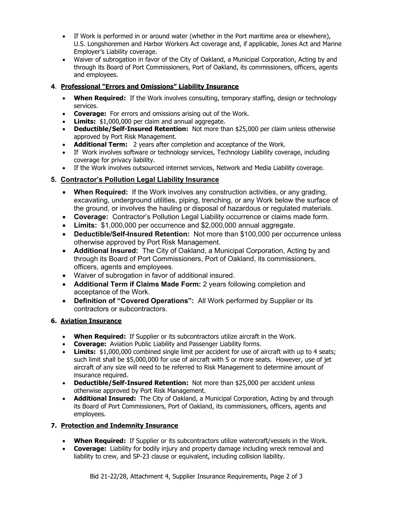- If Work is performed in or around water (whether in the Port maritime area or elsewhere), U.S. Longshoremen and Harbor Workers Act coverage and, if applicable, Jones Act and Marine Employer's Liability coverage.
- Waiver of subrogation in favor of the City of Oakland, a Municipal Corporation, Acting by and through its Board of Port Commissioners, Port of Oakland, its commissioners, officers, agents and employees.

# **4**. **Professional "Errors and Omissions" Liability Insurance**

- **When Required:** If the Work involves consulting, temporary staffing, design or technology services.
- **Coverage:** For errors and omissions arising out of the Work.
- **Limits:** \$1,000,000 per claim and annual aggregate.
- **Deductible/Self-Insured Retention:** Not more than \$25,000 per claim unless otherwise approved by Port Risk Management.
- **Additional Term:** 2 years after completion and acceptance of the Work.
- If Work involves software or technology services, Technology Liability coverage, including coverage for privacy liability.
- If the Work involves outsourced internet services, Network and Media Liability coverage.

# **5. Contractor's Pollution Legal Liability Insurance**

- **When Required:** If the Work involves any construction activities, or any grading, excavating, underground utilities, piping, trenching, or any Work below the surface of the ground, or involves the hauling or disposal of hazardous or regulated materials.
- **Coverage:** Contractor's Pollution Legal Liability occurrence or claims made form.
- **Limits:** \$1,000,000 per occurrence and \$2,000,000 annual aggregate.
- **Deductible/Self-Insured Retention:** Not more than \$100,000 per occurrence unless otherwise approved by Port Risk Management.
- **Additional Insured:** The City of Oakland, a Municipal Corporation, Acting by and through its Board of Port Commissioners, Port of Oakland, its commissioners, officers, agents and employees.
- Waiver of subrogation in favor of additional insured.
- **Additional Term if Claims Made Form:** 2 years following completion and acceptance of the Work.
- **Definition of "Covered Operations":** All Work performed by Supplier or its contractors or subcontractors.

# **6. Aviation Insurance**

- **When Required:** If Supplier or its subcontractors utilize aircraft in the Work.
- **Coverage:** Aviation Public Liability and Passenger Liability forms.
- **Limits:** \$1,000,000 combined single limit per accident for use of aircraft with up to 4 seats; such limit shall be \$5,000,000 for use of aircraft with 5 or more seats. However, use of jet aircraft of any size will need to be referred to Risk Management to determine amount of insurance required.
- **Deductible/Self-Insured Retention:** Not more than \$25,000 per accident unless otherwise approved by Port Risk Management.
- **Additional Insured:** The City of Oakland, a Municipal Corporation, Acting by and through its Board of Port Commissioners, Port of Oakland, its commissioners, officers, agents and employees.

# **7. Protection and Indemnity Insurance**

- **When Required:** If Supplier or its subcontractors utilize watercraft/vessels in the Work.
- **Coverage:** Liability for bodily injury and property damage including wreck removal and liability to crew, and SP-23 clause or equivalent, including collision liability.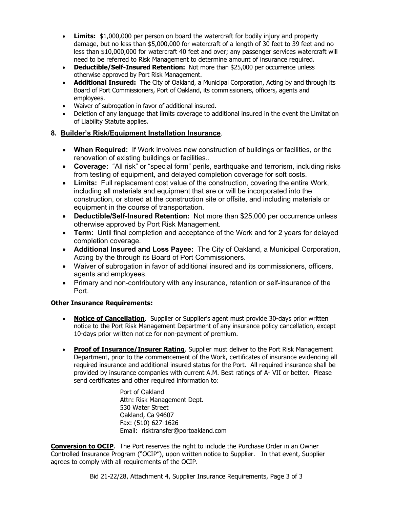- **Limits:** \$1,000,000 per person on board the watercraft for bodily injury and property damage, but no less than \$5,000,000 for watercraft of a length of 30 feet to 39 feet and no less than \$10,000,000 for watercraft 40 feet and over; any passenger services watercraft will need to be referred to Risk Management to determine amount of insurance required.
- **Deductible/Self-Insured Retention:** Not more than \$25,000 per occurrence unless otherwise approved by Port Risk Management.
- **Additional Insured:** The City of Oakland, a Municipal Corporation, Acting by and through its Board of Port Commissioners, Port of Oakland, its commissioners, officers, agents and employees.
- Waiver of subrogation in favor of additional insured.
- Deletion of any language that limits coverage to additional insured in the event the Limitation of Liability Statute applies.

#### **8. Builder's Risk/Equipment Installation Insurance**.

- **When Required:** If Work involves new construction of buildings or facilities, or the renovation of existing buildings or facilities..
- **Coverage:** "All risk" or "special form" perils, earthquake and terrorism, including risks from testing of equipment, and delayed completion coverage for soft costs.
- **Limits:** Full replacement cost value of the construction, covering the entire Work, including all materials and equipment that are or will be incorporated into the construction, or stored at the construction site or offsite, and including materials or equipment in the course of transportation.
- **Deductible/Self-Insured Retention:** Not more than \$25,000 per occurrence unless otherwise approved by Port Risk Management.
- **Term:** Until final completion and acceptance of the Work and for 2 years for delayed completion coverage.
- **Additional Insured and Loss Payee:** The City of Oakland, a Municipal Corporation, Acting by the through its Board of Port Commissioners.
- Waiver of subrogation in favor of additional insured and its commissioners, officers, agents and employees.
- Primary and non-contributory with any insurance, retention or self-insurance of the Port.

#### **Other Insurance Requirements:**

- **Notice of Cancellation.** Supplier or Supplier's agent must provide 30-days prior written notice to the Port Risk Management Department of any insurance policy cancellation, except 10-days prior written notice for non-payment of premium.
- **Proof of Insurance/Insurer Rating**. Supplier must deliver to the Port Risk Management Department, prior to the commencement of the Work, certificates of insurance evidencing all required insurance and additional insured status for the Port. All required insurance shall be provided by insurance companies with current A.M. Best ratings of A- VII or better. Please send certificates and other required information to:

Port of Oakland Attn: Risk Management Dept. 530 Water Street Oakland, Ca 94607 Fax: (510) 627-1626 Email: risktransfer@portoakland.com

**Conversion to OCIP**. The Port reserves the right to include the Purchase Order in an Owner Controlled Insurance Program ("OCIP"), upon written notice to Supplier. In that event, Supplier agrees to comply with all requirements of the OCIP.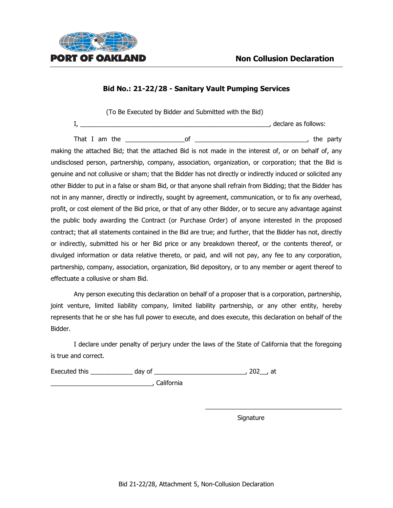

(To Be Executed by Bidder and Submitted with the Bid) I, \_\_\_\_\_\_\_\_\_\_\_\_\_\_\_\_\_\_\_\_\_\_\_\_\_\_\_\_\_\_\_\_\_\_\_\_\_\_\_\_\_\_\_\_\_\_\_\_\_\_\_\_\_\_, declare as follows:

That I am the \_\_\_\_\_\_\_\_\_\_\_\_\_\_\_\_\_of \_\_\_\_\_\_\_\_\_\_\_\_\_\_\_\_\_\_\_\_\_\_\_\_\_\_\_\_\_\_\_\_, the party making the attached Bid; that the attached Bid is not made in the interest of, or on behalf of, any undisclosed person, partnership, company, association, organization, or corporation; that the Bid is genuine and not collusive or sham; that the Bidder has not directly or indirectly induced or solicited any other Bidder to put in a false or sham Bid, or that anyone shall refrain from Bidding; that the Bidder has not in any manner, directly or indirectly, sought by agreement, communication, or to fix any overhead, profit, or cost element of the Bid price, or that of any other Bidder, or to secure any advantage against the public body awarding the Contract (or Purchase Order) of anyone interested in the proposed contract; that all statements contained in the Bid are true; and further, that the Bidder has not, directly or indirectly, submitted his or her Bid price or any breakdown thereof, or the contents thereof, or divulged information or data relative thereto, or paid, and will not pay, any fee to any corporation, partnership, company, association, organization, Bid depository, or to any member or agent thereof to effectuate a collusive or sham Bid.

Any person executing this declaration on behalf of a proposer that is a corporation, partnership, joint venture, limited liability company, limited liability partnership, or any other entity, hereby represents that he or she has full power to execute, and does execute, this declaration on behalf of the Bidder.

I declare under penalty of perjury under the laws of the State of California that the foregoing is true and correct.

Executed this day of the secuted this day of the secured this at  $\frac{1}{2}$  day of the secured this secure  $\frac{1}{2}$  at

\_\_\_\_\_\_\_\_\_\_\_\_\_\_\_\_\_\_\_\_\_\_\_\_\_\_\_\_\_, California

Signature

\_\_\_\_\_\_\_\_\_\_\_\_\_\_\_\_\_\_\_\_\_\_\_\_\_\_\_\_\_\_\_\_\_\_\_\_\_\_\_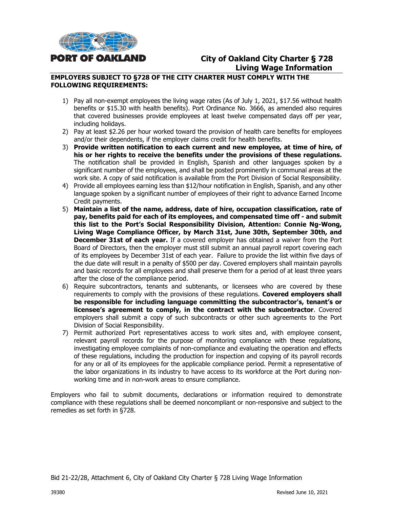

# **City of Oakland City Charter § 728 Living Wage Information**

#### **EMPLOYERS SUBJECT TO §728 OF THE CITY CHARTER MUST COMPLY WITH THE FOLLOWING REQUIREMENTS:**

- 1) Pay all non-exempt employees the living wage rates (As of July 1, 2021, \$17.56 without health benefits or \$15.30 with health benefits). Port Ordinance No. 3666, as amended also requires that covered businesses provide employees at least twelve compensated days off per year, including holidays.
- 2) Pay at least \$2.26 per hour worked toward the provision of health care benefits for employees and/or their dependents, if the employer claims credit for health benefits.
- 3) **Provide written notification to each current and new employee, at time of hire, of his or her rights to receive the benefits under the provisions of these regulations.** The notification shall be provided in English, Spanish and other languages spoken by a significant number of the employees, and shall be posted prominently in communal areas at the work site. A copy of said notification is available from the Port Division of Social Responsibility.
- 4) Provide all employees earning less than \$12/hour notification in English, Spanish, and any other language spoken by a significant number of employees of their right to advance Earned Income Credit payments.
- 5) **Maintain a list of the name, address, date of hire, occupation classification, rate of pay, benefits paid for each of its employees, and compensated time off - and submit this list to the Port's Social Responsibility Division, Attention: Connie Ng-Wong, Living Wage Compliance Officer, by March 31st, June 30th, September 30th, and December 31st of each year.** If a covered employer has obtained a waiver from the Port Board of Directors, then the employer must still submit an annual payroll report covering each of its employees by December 31st of each year. Failure to provide the list within five days of the due date will result in a penalty of \$500 per day. Covered employers shall maintain payrolls and basic records for all employees and shall preserve them for a period of at least three years after the close of the compliance period.
- 6) Require subcontractors, tenants and subtenants, or licensees who are covered by these requirements to comply with the provisions of these regulations. **Covered employers shall be responsible for including language committing the subcontractor's, tenant's or licensee's agreement to comply, in the contract with the subcontractor**. Covered employers shall submit a copy of such subcontracts or other such agreements to the Port Division of Social Responsibility.
- 7) Permit authorized Port representatives access to work sites and, with employee consent, relevant payroll records for the purpose of monitoring compliance with these regulations, investigating employee complaints of non-compliance and evaluating the operation and effects of these regulations, including the production for inspection and copying of its payroll records for any or all of its employees for the applicable compliance period. Permit a representative of the labor organizations in its industry to have access to its workforce at the Port during nonworking time and in non-work areas to ensure compliance.

Employers who fail to submit documents, declarations or information required to demonstrate compliance with these regulations shall be deemed noncompliant or non-responsive and subject to the remedies as set forth in §728.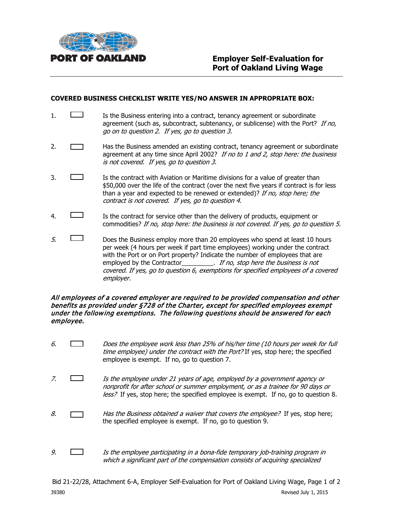

#### **COVERED BUSINESS CHECKLIST WRITE YES/NO ANSWER IN APPROPRIATE BOX:**

- $1. \Box$  Is the Business entering into a contract, tenancy agreement or subordinate agreement (such as, subcontract, subtenancy, or sublicense) with the Port? If no, go on to question 2. If yes, go to question 3.
- 2. **Has the Business amended an existing contract, tenancy agreement or subordinate** agreement at any time since April 2002? If no to 1 and 2, stop here: the business is not covered. If yes, go to question 3.
- 3. Is the contract with Aviation or Maritime divisions for a value of greater than \$50,000 over the life of the contract (over the next five years if contract is for less than a year and expected to be renewed or extended)? If no, stop here; the contract is not covered. If yes, go to question 4.
- 4. Is the contract for service other than the delivery of products, equipment or commodities? If no, stop here: the business is not covered. If yes, go to question 5.
- $5.$  Does the Business employ more than 20 employees who spend at least 10 hours per week (4 hours per week if part time employees) working under the contract with the Port or on Port property? Indicate the number of employees that are employed by the Contractor\_\_\_\_\_\_\_\_\_\_. If no, stop here the business is not covered. If yes, go to question 6, exemptions for specified employees of a covered employer.

#### All employees of a covered employer are required to be provided compensation and other benefits as provided under §728 of the Charter, except for specified employees exempt under the following exemptions. The following questions should be answered for each employee.

- 6.  $\Box$  Does the employee work less than 25% of his/her time (10 hours per week for full time employee) under the contract with the Port? If yes, stop here; the specified employee is exempt. If no, go to question 7.
- 7. Is the employee under 21 years of age, employed by a government agency or nonprofit for after school or summer employment, or as a trainee for 90 days or less? If yes, stop here; the specified employee is exempt. If no, go to question 8.
- 8.  $\Box$  Has the Business obtained a waiver that covers the employee? If yes, stop here; the specified employee is exempt. If no, go to question 9.
- 9.  $\Box$  Is the employee participating in a bona-fide temporary job-training program in which a significant part of the compensation consists of acquiring specialized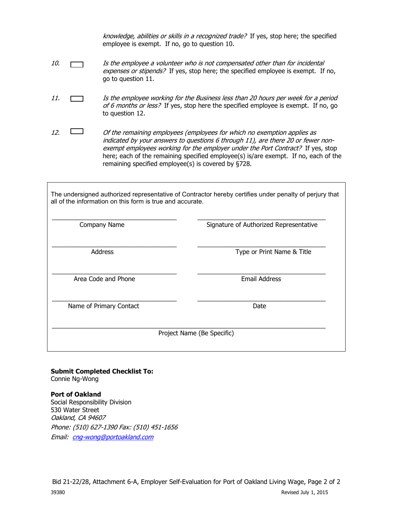knowledge, abilities or skills in a recognized trade? If yes, stop here; the specified employee is exempt. If no, go to question 10.

- 10. **If the employee a volunteer who is not compensated other than for incidental** expenses or stipends? If yes, stop here; the specified employee is exempt. If no, go to question 11.
- 11. Is the employee working for the Business less than 20 hours per week for a period of 6 months or less? If yes, stop here the specified employee is exempt. If no, go to question 12.
- 12.  $\Box$  Of the remaining employees (employees for which no exemption applies as indicated by your answers to questions 6 through 11), are there 20 or fewer nonexempt employees working for the employer under the Port Contract? If yes, stop here; each of the remaining specified employee(s) is/are exempt. If no, each of the remaining specified employee(s) is covered by §728.

The undersigned authorized representative of Contractor hereby certifies under penalty of perjury that all of the information on this form is true and accurate.

| Company Name            | Signature of Authorized Representative |
|-------------------------|----------------------------------------|
| <b>Address</b>          | Type or Print Name & Title             |
| Area Code and Phone     | <b>Email Address</b>                   |
| Name of Primary Contact | Date                                   |
|                         | Project Name (Be Specific)             |

**Submit Completed Checklist To:** Connie Ng-Wong

**Port of Oakland**  Social Responsibility Division 530 Water Street Oakland, CA 94607 Phone: (510) 627-1390 Fax: (510) 451-1656 Email: [cng-wong@portoakland.com](mailto:cng-wong@portoakland.com)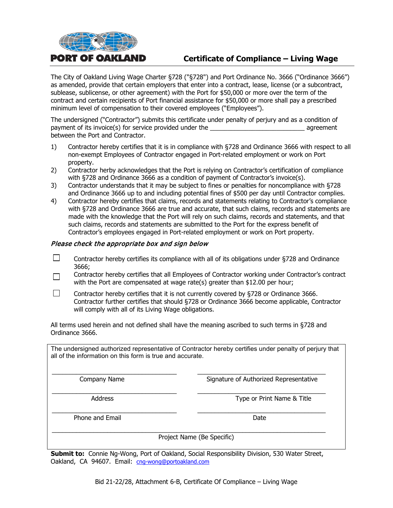

# **Certificate of Compliance – Living Wage**

The City of Oakland Living Wage Charter §728 ("§728") and Port Ordinance No. 3666 ("Ordinance 3666") as amended, provide that certain employers that enter into a contract, lease, license (or a subcontract, sublease, sublicense, or other agreement) with the Port for \$50,000 or more over the term of the contract and certain recipients of Port financial assistance for \$50,000 or more shall pay a prescribed minimum level of compensation to their covered employees ("Employees").

The undersigned ("Contractor") submits this certificate under penalty of perjury and as a condition of payment of its invoice(s) for service provided under the example agreement agreement between the Port and Contractor.

- 1) Contractor hereby certifies that it is in compliance with §728 and Ordinance 3666 with respect to all non-exempt Employees of Contractor engaged in Port-related employment or work on Port property.
- 2) Contractor herby acknowledges that the Port is relying on Contractor's certification of compliance with §728 and Ordinance 3666 as a condition of payment of Contractor's invoice(s).
- 3) Contractor understands that it may be subject to fines or penalties for noncompliance with §728 and Ordinance 3666 up to and including potential fines of \$500 per day until Contractor complies.
- 4) Contractor hereby certifies that claims, records and statements relating to Contractor's compliance with §728 and Ordinance 3666 are true and accurate, that such claims, records and statements are made with the knowledge that the Port will rely on such claims, records and statements, and that such claims, records and statements are submitted to the Port for the express benefit of Contractor's employees engaged in Port-related employment or work on Port property.

#### Please check the appropriate box and sign below

- $\Box$ Contractor hereby certifies its compliance with all of its obligations under §728 and Ordinance 3666;
- Contractor hereby certifies that all Employees of Contractor working under Contractor's contract  $\Box$ with the Port are compensated at wage rate(s) greater than \$12.00 per hour;
- $\Box$ Contractor hereby certifies that it is not currently covered by §728 or Ordinance 3666. Contractor further certifies that should §728 or Ordinance 3666 become applicable, Contractor will comply with all of its Living Wage obligations.

All terms used herein and not defined shall have the meaning ascribed to such terms in §728 and Ordinance 3666.

The undersigned authorized representative of Contractor hereby certifies under penalty of perjury that all of the information on this form is true and accurate.

\_\_\_\_\_\_\_\_\_\_\_\_\_\_\_\_\_\_\_\_\_\_\_\_\_\_\_\_\_\_\_\_\_\_\_\_ \_\_\_\_\_\_\_\_\_\_\_\_\_\_\_\_\_\_\_\_\_\_\_\_\_\_\_\_\_\_\_\_\_\_\_\_\_ Company Name Signature of Authorized Representative

\_\_\_\_\_\_\_\_\_\_\_\_\_\_\_\_\_\_\_\_\_\_\_\_\_\_\_\_\_\_\_\_\_\_\_\_ \_\_\_\_\_\_\_\_\_\_\_\_\_\_\_\_\_\_\_\_\_\_\_\_\_\_\_\_\_\_\_\_\_\_\_\_\_ Address **Address Address Type or Print Name & Title** 

Phone and Email Date and Email Date Date and Email Date Date Date Date Date

\_\_\_\_\_\_\_\_\_\_\_\_\_\_\_\_\_\_\_\_\_\_\_\_\_\_\_\_\_\_\_\_\_\_\_\_ \_\_\_\_\_\_\_\_\_\_\_\_\_\_\_\_\_\_\_\_\_\_\_\_\_\_\_\_\_\_\_\_\_\_\_\_\_

\_\_\_\_\_\_\_\_\_\_\_\_\_\_\_\_\_\_\_\_\_\_\_\_\_\_\_\_\_\_\_\_\_\_\_\_\_\_\_\_\_\_\_\_\_\_\_\_\_\_\_\_\_\_\_\_\_\_\_\_\_\_\_\_\_\_\_\_\_\_\_\_\_\_\_\_\_\_\_ Project Name (Be Specific)

**Submit to:** Connie Ng-Wong, Port of Oakland, Social Responsibility Division, 530 Water Street, Oakland, CA 94607. Email: [cng-wong@portoakland.com](mailto:cng-wong@portoakland.com)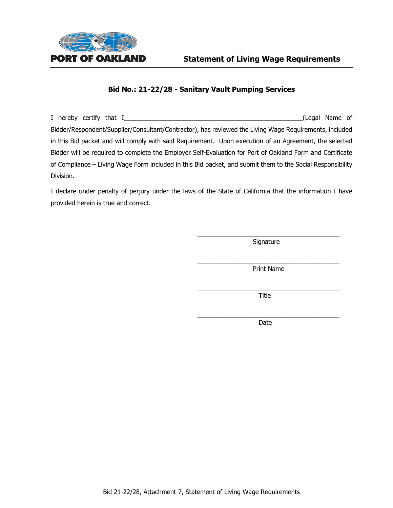

I hereby certify that I\_\_\_\_\_\_\_\_\_\_\_\_\_\_\_\_\_\_\_\_\_\_\_\_\_\_\_\_\_\_\_\_\_\_\_\_\_\_\_\_\_\_\_\_\_\_\_\_\_\_\_(Legal Name of Bidder/Respondent/Supplier/Consultant/Contractor), has reviewed the Living Wage Requirements, included in this Bid packet and will comply with said Requirement. Upon execution of an Agreement, the selected Bidder will be required to complete the Employer Self-Evaluation for Port of Oakland Form and Certificate of Compliance – Living Wage Form included in this Bid packet, and submit them to the Social Responsibility Division.

I declare under penalty of perjury under the laws of the State of California that the information I have provided herein is true and correct.

> $\overline{\phantom{a}}$  , and the contract of the contract of the contract of the contract of the contract of the contract of the contract of the contract of the contract of the contract of the contract of the contract of the contrac Signature

> $\overline{\phantom{a}}$  , and the contract of the contract of  $\overline{\phantom{a}}$ Print Name

> \_\_\_\_\_\_\_\_\_\_\_\_\_\_\_\_\_\_\_\_\_\_\_\_\_\_\_\_\_\_\_\_\_\_\_\_\_\_\_\_\_ Title

> $\overline{\phantom{a}}$  , and the set of the set of the set of the set of the set of the set of the set of the set of the set of the set of the set of the set of the set of the set of the set of the set of the set of the set of the s Date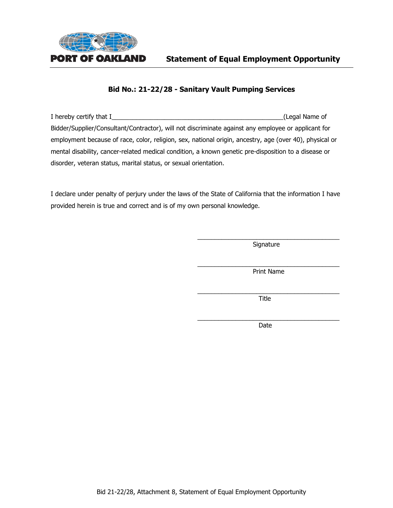

| I hereby certify that I                                                                                 | (Legal Name of |
|---------------------------------------------------------------------------------------------------------|----------------|
| Bidder/Supplier/Consultant/Contractor), will not discriminate against any employee or applicant for     |                |
| employment because of race, color, religion, sex, national origin, ancestry, age (over 40), physical or |                |
| mental disability, cancer-related medical condition, a known genetic pre-disposition to a disease or    |                |
| disorder, veteran status, marital status, or sexual orientation.                                        |                |

I declare under penalty of perjury under the laws of the State of California that the information I have provided herein is true and correct and is of my own personal knowledge.

> \_\_\_\_\_\_\_\_\_\_\_\_\_\_\_\_\_\_\_\_\_\_\_\_\_\_\_\_\_\_\_\_\_\_\_\_\_\_\_\_\_ **Signature**

> \_\_\_\_\_\_\_\_\_\_\_\_\_\_\_\_\_\_\_\_\_\_\_\_\_\_\_\_\_\_\_\_\_\_\_\_\_\_\_\_\_ Print Name

> $\_$ Title

> $\overline{\phantom{a}}$  , and the contract of the contract of the contract of the contract of the contract of the contract of the contract of the contract of the contract of the contract of the contract of the contract of the contrac Date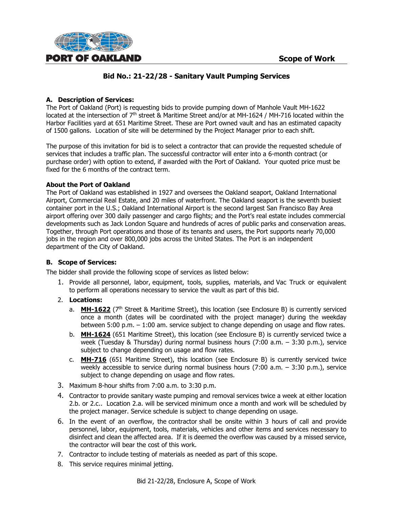

#### **A. Description of Services:**

The Port of Oakland (Port) is requesting bids to provide pumping down of Manhole Vault MH-1622 located at the intersection of 7th street & Maritime Street and/or at MH-1624 / MH-716 located within the Harbor Facilities yard at 651 Maritime Street. These are Port owned vault and has an estimated capacity of 1500 gallons. Location of site will be determined by the Project Manager prior to each shift.

The purpose of this invitation for bid is to select a contractor that can provide the requested schedule of services that includes a traffic plan. The successful contractor will enter into a 6-month contract (or purchase order) with option to extend, if awarded with the Port of Oakland. Your quoted price must be fixed for the 6 months of the contract term.

#### **About the Port of Oakland**

The Port of Oakland was established in 1927 and oversees the Oakland seaport, Oakland International Airport, Commercial Real Estate, and 20 miles of waterfront. The Oakland seaport is the seventh busiest container port in the U.S.; Oakland International Airport is the second largest San Francisco Bay Area airport offering over 300 daily passenger and cargo flights; and the Port's real estate includes commercial developments such as Jack London Square and hundreds of acres of public parks and conservation areas. Together, through Port operations and those of its tenants and users, the Port supports nearly 70,000 jobs in the region and over 800,000 jobs across the United States. The Port is an independent department of the City of Oakland.

#### **B. Scope of Services:**

The bidder shall provide the following scope of services as listed below:

- 1. Provide all personnel, labor, equipment, tools, supplies, materials, and Vac Truck or equivalent to perform all operations necessary to service the vault as part of this bid.
- 2. **Locations:**
	- a. **MH-1622** (7<sup>th</sup> Street & Maritime Street), this location (see Enclosure B) is currently serviced once a month (dates will be coordinated with the project manager) during the weekday between 5:00 p.m. – 1:00 am. service subject to change depending on usage and flow rates.
	- b. **MH-1624** (651 Maritime Street), this location (see Enclosure B) is currently serviced twice a week (Tuesday & Thursday) during normal business hours (7:00 a.m. – 3:30 p.m.), service subject to change depending on usage and flow rates.
	- c. **MH-716** (651 Maritime Street), this location (see Enclosure B) is currently serviced twice weekly accessible to service during normal business hours (7:00 a.m. – 3:30 p.m.), service subject to change depending on usage and flow rates.
- 3. Maximum 8-hour shifts from 7:00 a.m. to 3:30 p.m.
- 4. Contractor to provide sanitary waste pumping and removal services twice a week at either location 2.b. or 2.c.. Location 2.a. will be serviced minimum once a month and work will be scheduled by the project manager. Service schedule is subject to change depending on usage.
- 6. In the event of an overflow, the contractor shall be onsite within 3 hours of call and provide personnel, labor, equipment, tools, materials, vehicles and other items and services necessary to disinfect and clean the affected area. If it is deemed the overflow was caused by a missed service, the contractor will bear the cost of this work.
- 7. Contractor to include testing of materials as needed as part of this scope.
- 8. This service requires minimal jetting.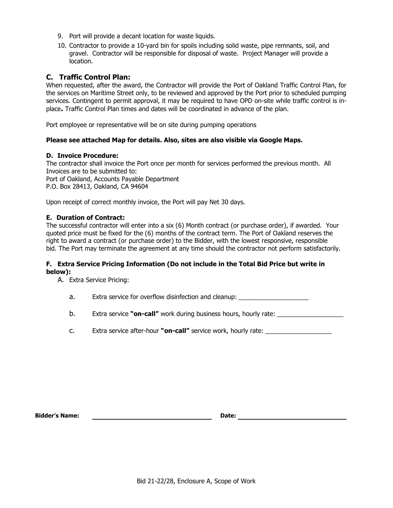- 9. Port will provide a decant location for waste liquids.
- 10. Contractor to provide a 10-yard bin for spoils including solid waste, pipe remnants, soil, and gravel. Contractor will be responsible for disposal of waste. Project Manager will provide a location.

#### **C. Traffic Control Plan:**

When requested, after the award, the Contractor will provide the Port of Oakland Traffic Control Plan, for the services on Maritime Street only, to be reviewed and approved by the Port prior to scheduled pumping services. Contingent to permit approval, it may be required to have OPD on-site while traffic control is inplace**.** Traffic Control Plan times and dates will be coordinated in advance of the plan.

Port employee or representative will be on site during pumping operations

#### **Please see attached Map for details. Also, sites are also visible via Google Maps.**

#### **D. Invoice Procedure:**

The contractor shall invoice the Port once per month for services performed the previous month. All Invoices are to be submitted to: Port of Oakland, Accounts Payable Department P.O. Box 28413, Oakland, CA 94604

Upon receipt of correct monthly invoice, the Port will pay Net 30 days.

#### **E. Duration of Contract:**

The successful contractor will enter into a six (6) Month contract (or purchase order), if awarded. Your quoted price must be fixed for the (6) months of the contract term. The Port of Oakland reserves the right to award a contract (or purchase order) to the Bidder, with the lowest responsive, responsible bid. The Port may terminate the agreement at any time should the contractor not perform satisfactorily.

#### **F. Extra Service Pricing Information (Do not include in the Total Bid Price but write in below):**

A. Extra Service Pricing:

a. Extra service for overflow disinfection and cleanup:

- b. Extra service **"on-call"** work during business hours, hourly rate:
- c. Extra service after-hour **"on-call"** service work, hourly rate: